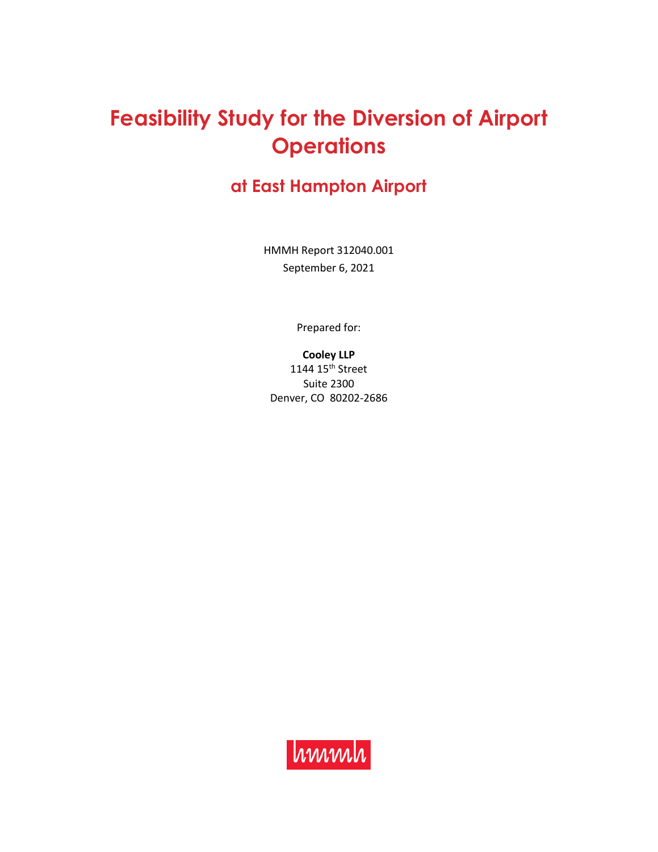# **Feasibility Study for the Diversion of Airport Operations**

## **at East Hampton Airport**

HMMH Report 312040.001 September 6, 2021

Prepared for:

**Cooley LLP**

1144  $15<sup>th</sup>$  Street Suite 2300 Denver, CO 80202-2686

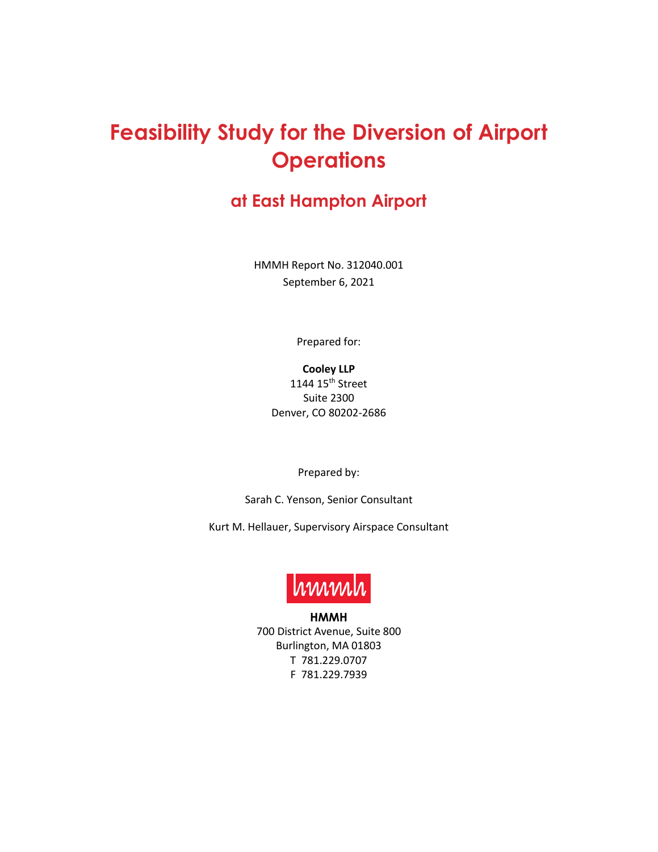# **Feasibility Study for the Diversion of Airport Operations**

## **at East Hampton Airport**

HMMH Report No. 312040.001 September 6, 2021

Prepared for:

**Cooley LLP** 1144  $15<sup>th</sup>$  Street Suite 2300 Denver, CO 80202-2686

Prepared by:

Sarah C. Yenson, Senior Consultant

Kurt M. Hellauer, Supervisory Airspace Consultant



**HMMH** 700 District Avenue, Suite 800 Burlington, MA 01803 T 781.229.0707 F 781.229.7939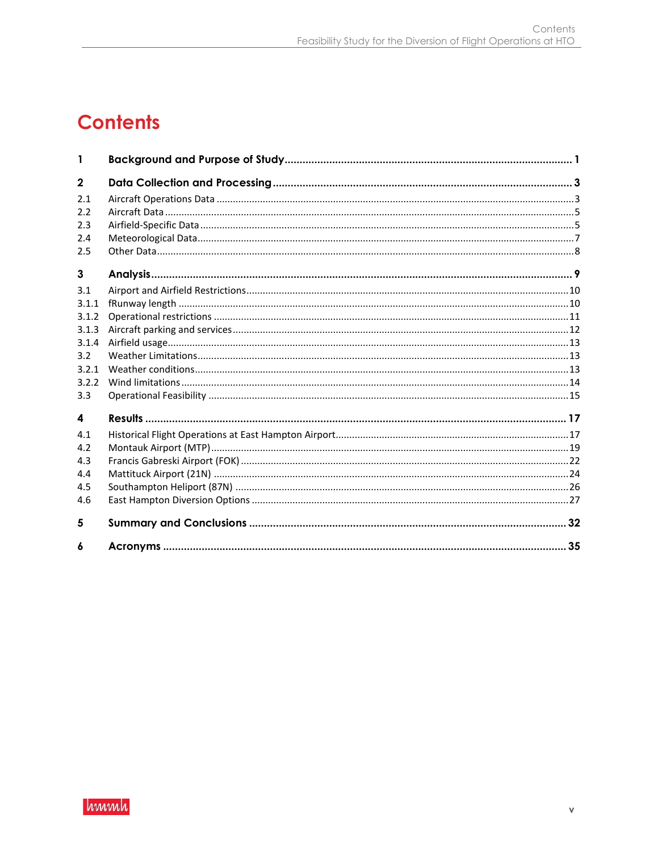# **Contents**

| 1             |    |
|---------------|----|
| $\mathbf{2}$  |    |
| 2.1           |    |
| 2.2           |    |
| 2.3           |    |
| 2.4           |    |
| 2.5           |    |
| 3             |    |
| 3.1           |    |
| 3.1.1         |    |
| 3.1.2         |    |
| 3.1.3         |    |
| 3.1.4         |    |
| $3.2^{\circ}$ |    |
| 3.2.1         |    |
| 3.2.2         |    |
| 3.3           |    |
| 4             |    |
| 4.1           |    |
| 4.2           |    |
| 4.3           |    |
| 4.4           |    |
| 4.5           |    |
| 4.6           |    |
| 5             | 32 |
| 6             | 35 |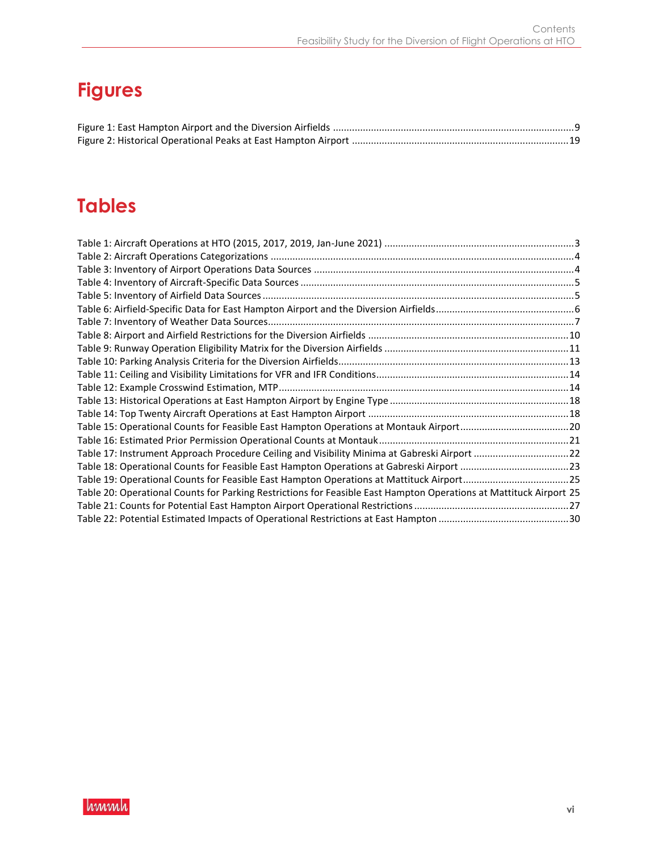# **Figures**

## **Tables**

| Table 15: Operational Counts for Feasible East Hampton Operations at Montauk Airport20                             |  |
|--------------------------------------------------------------------------------------------------------------------|--|
|                                                                                                                    |  |
| Table 17: Instrument Approach Procedure Ceiling and Visibility Minima at Gabreski Airport 22                       |  |
| Table 18: Operational Counts for Feasible East Hampton Operations at Gabreski Airport 23                           |  |
| Table 19: Operational Counts for Feasible East Hampton Operations at Mattituck Airport25                           |  |
| Table 20: Operational Counts for Parking Restrictions for Feasible East Hampton Operations at Mattituck Airport 25 |  |
|                                                                                                                    |  |
|                                                                                                                    |  |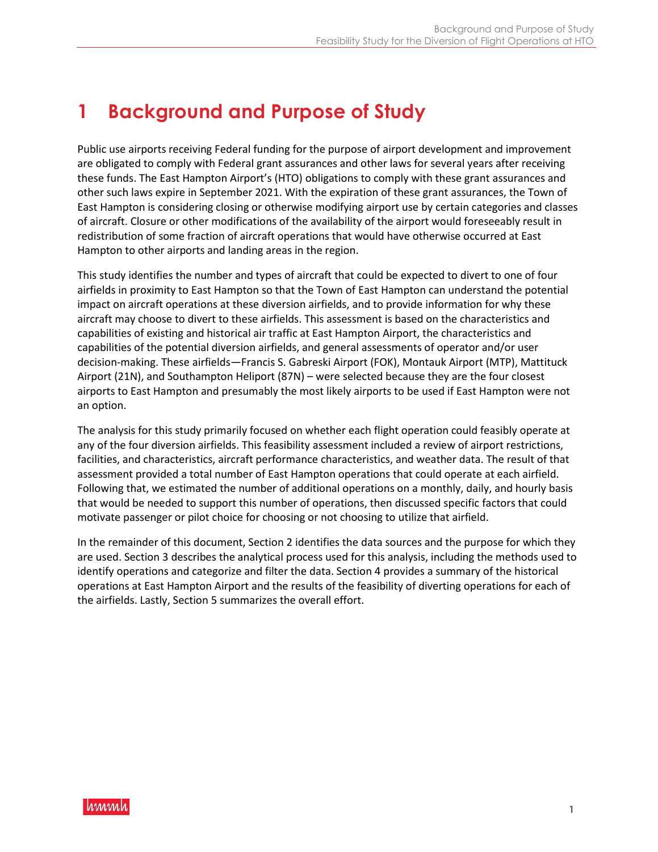## <span id="page-6-0"></span>**1 Background and Purpose of Study**

Public use airports receiving Federal funding for the purpose of airport development and improvement are obligated to comply with Federal grant assurances and other laws for several years after receiving these funds. The East Hampton Airport's (HTO) obligations to comply with these grant assurances and other such laws expire in September 2021. With the expiration of these grant assurances, the Town of East Hampton is considering closing or otherwise modifying airport use by certain categories and classes of aircraft. Closure or other modifications of the availability of the airport would foreseeably result in redistribution of some fraction of aircraft operations that would have otherwise occurred at East Hampton to other airports and landing areas in the region.

This study identifies the number and types of aircraft that could be expected to divert to one of four airfields in proximity to East Hampton so that the Town of East Hampton can understand the potential impact on aircraft operations at these diversion airfields, and to provide information for why these aircraft may choose to divert to these airfields. This assessment is based on the characteristics and capabilities of existing and historical air traffic at East Hampton Airport, the characteristics and capabilities of the potential diversion airfields, and general assessments of operator and/or user decision-making. These airfields—Francis S. Gabreski Airport (FOK), Montauk Airport (MTP), Mattituck Airport (21N), and Southampton Heliport (87N) – were selected because they are the four closest airports to East Hampton and presumably the most likely airports to be used if East Hampton were not an option.

The analysis for this study primarily focused on whether each flight operation could feasibly operate at any of the four diversion airfields. This feasibility assessment included a review of airport restrictions, facilities, and characteristics, aircraft performance characteristics, and weather data. The result of that assessment provided a total number of East Hampton operations that could operate at each airfield. Following that, we estimated the number of additional operations on a monthly, daily, and hourly basis that would be needed to support this number of operations, then discussed specific factors that could motivate passenger or pilot choice for choosing or not choosing to utilize that airfield.

In the remainder of this document, Sectio[n 2](#page-8-0) identifies the data sources and the purpose for which they are used. Section [3](#page-14-0) describes the analytical process used for this analysis, including the methods used to identify operations and categorize and filter the data. Sectio[n 4](#page-22-0) provides a summary of the historical operations at East Hampton Airport and the results of the feasibility of diverting operations for each of the airfields. Lastly, Section [5](#page-37-0) summarizes the overall effort.

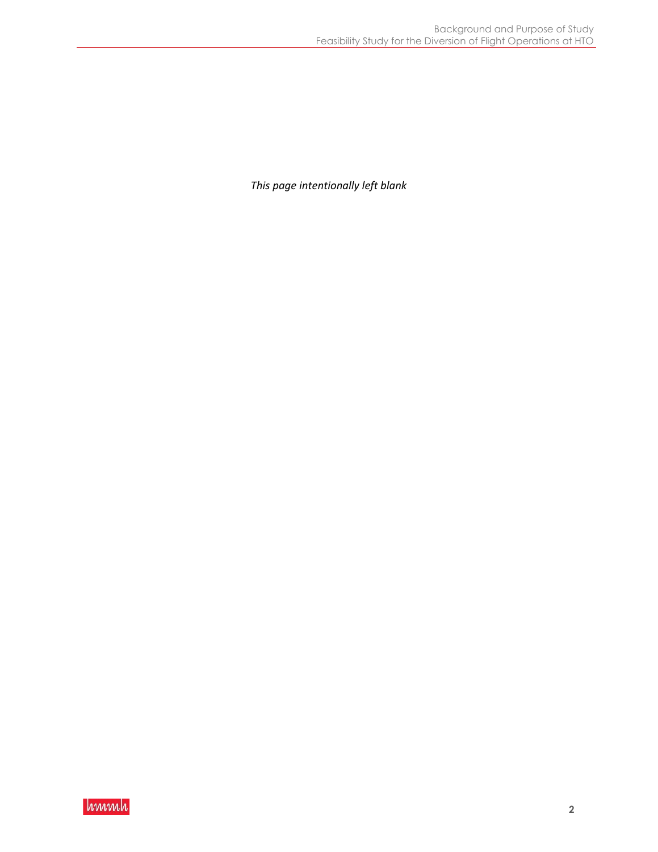*This page intentionally left blank*

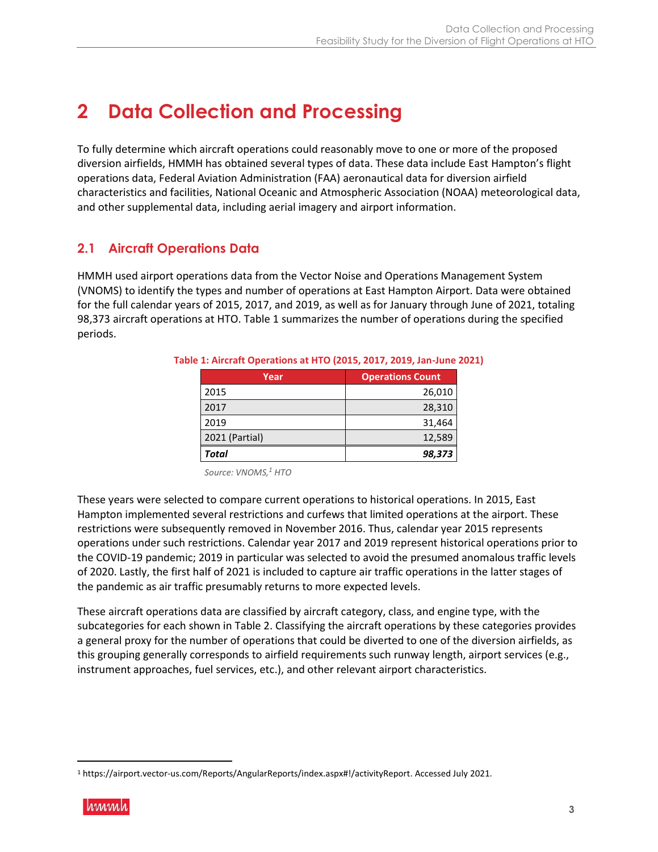## <span id="page-8-0"></span>**2 Data Collection and Processing**

To fully determine which aircraft operations could reasonably move to one or more of the proposed diversion airfields, HMMH has obtained several types of data. These data include East Hampton's flight operations data, Federal Aviation Administration (FAA) aeronautical data for diversion airfield characteristics and facilities, National Oceanic and Atmospheric Association (NOAA) meteorological data, and other supplemental data, including aerial imagery and airport information.

### <span id="page-8-1"></span>**2.1 Aircraft Operations Data**

<span id="page-8-2"></span>HMMH used airport operations data from the Vector Noise and Operations Management System (VNOMS) to identify the types and number of operations at East Hampton Airport. Data were obtained for the full calendar years of 2015, 2017, and 2019, as well as for January through June of 2021, totaling 98,373 aircraft operations at HTO. [Table 1](#page-8-2) summarizes the number of operations during the specified periods.

| Year           | <b>Operations Count</b> |
|----------------|-------------------------|
| 2015           | 26,010                  |
| 2017           | 28,310                  |
| 2019           | 31,464                  |
| 2021 (Partial) | 12,589                  |
| Total          | 98,373                  |

#### **Table 1: Aircraft Operations at HTO (2015, 2017, 2019, Jan-June 2021)**

*Source: VNOMS, <sup>1</sup> HTO*

These years were selected to compare current operations to historical operations. In 2015, East Hampton implemented several restrictions and curfews that limited operations at the airport. These restrictions were subsequently removed in November 2016. Thus, calendar year 2015 represents operations under such restrictions. Calendar year 2017 and 2019 represent historical operations prior to the COVID-19 pandemic; 2019 in particular was selected to avoid the presumed anomalous traffic levels of 2020. Lastly, the first half of 2021 is included to capture air traffic operations in the latter stages of the pandemic as air traffic presumably returns to more expected levels.

These aircraft operations data are classified by aircraft category, class, and engine type, with the subcategories for each shown i[n Table](#page-9-0) 2. Classifying the aircraft operations by these categories provides a general proxy for the number of operations that could be diverted to one of the diversion airfields, as this grouping generally corresponds to airfield requirements such runway length, airport services (e.g., instrument approaches, fuel services, etc.), and other relevant airport characteristics.

<sup>1</sup> [https://airport.vector-us.com/Reports/AngularReports/index.aspx#!/activityReport.](https://airport.vector-us.com/Reports/AngularReports/index.aspx#!/activityReport) Accessed July 2021.

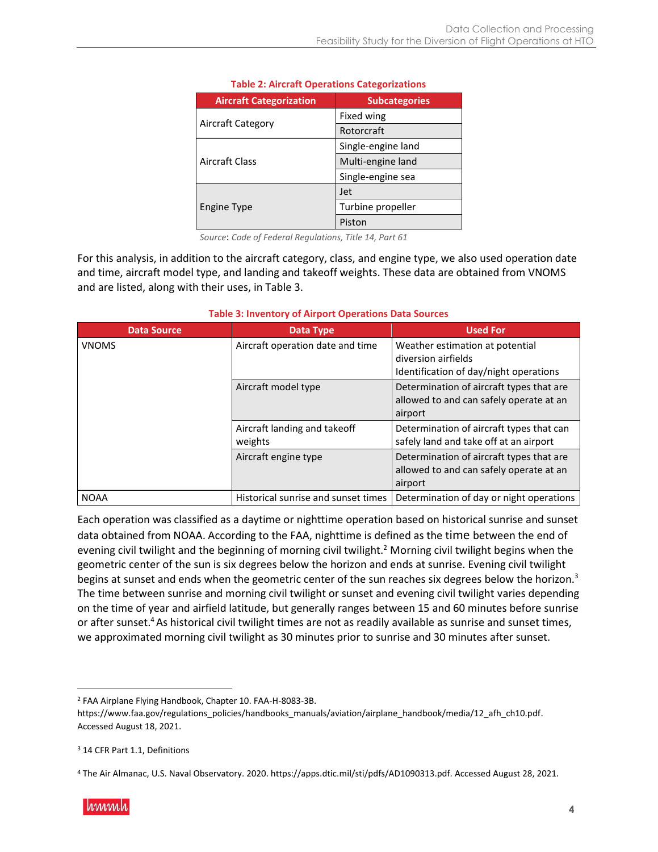<span id="page-9-0"></span>

| <b>Aircraft Categorization</b> | <b>Subcategories</b> |  |
|--------------------------------|----------------------|--|
| <b>Aircraft Category</b>       | Fixed wing           |  |
|                                | Rotorcraft           |  |
|                                | Single-engine land   |  |
| Aircraft Class                 | Multi-engine land    |  |
|                                | Single-engine sea    |  |
|                                | Jet                  |  |
| <b>Engine Type</b>             | Turbine propeller    |  |
|                                | Piston               |  |

#### **Table 2: Aircraft Operations Categorizations**

*Source*: *Code of Federal Regulations, Title 14, Part 61*

For this analysis, in addition to the aircraft category, class, and engine type, we also used operation date and time, aircraft model type, and landing and takeoff weights. These data are obtained from VNOMS and are listed, along with their uses, in [Table 3.](#page-9-1)

<span id="page-9-1"></span>

| <b>Data Source</b> | Data Type                               | <b>Used For</b>                                                                                  |
|--------------------|-----------------------------------------|--------------------------------------------------------------------------------------------------|
| <b>VNOMS</b>       | Aircraft operation date and time        | Weather estimation at potential<br>diversion airfields<br>Identification of day/night operations |
|                    | Aircraft model type                     | Determination of aircraft types that are<br>allowed to and can safely operate at an<br>airport   |
|                    | Aircraft landing and takeoff<br>weights | Determination of aircraft types that can<br>safely land and take off at an airport               |
|                    | Aircraft engine type                    | Determination of aircraft types that are<br>allowed to and can safely operate at an<br>airport   |
| <b>NOAA</b>        | Historical sunrise and sunset times     | Determination of day or night operations                                                         |

#### **Table 3: Inventory of Airport Operations Data Sources**

Each operation was classified as a daytime or nighttime operation based on historical sunrise and sunset data obtained from NOAA. According to the FAA, nighttime is defined as the time between the end of evening civil twilight and the beginning of morning civil twilight.<sup>2</sup> Morning civil twilight begins when the geometric center of the sun is six degrees below the horizon and ends at sunrise. Evening civil twilight begins at sunset and ends when the geometric center of the sun reaches six degrees below the horizon.<sup>3</sup> The time between sunrise and morning civil twilight or sunset and evening civil twilight varies depending on the time of year and airfield latitude, but generally ranges between 15 and 60 minutes before sunrise or after sunset.<sup>4</sup>As historical civil twilight times are not as readily available as sunrise and sunset times, we approximated morning civil twilight as 30 minutes prior to sunrise and 30 minutes after sunset.

<sup>4</sup> The Air Almanac, U.S. Naval Observatory. 2020. https://apps.dtic.mil/sti/pdfs/AD1090313.pdf. Accessed August 28, 2021.



<sup>2</sup> FAA Airplane Flying Handbook, Chapter 10. FAA-H-8083-3B.

[https://www.faa.gov/regulations\\_policies/handbooks\\_manuals/aviation/airplane\\_handbook/media/12\\_afh\\_ch10.pdf.](https://www.faa.gov/regulations_policies/handbooks_manuals/aviation/airplane_handbook/media/12_afh_ch10.pdf)  Accessed August 18, 2021.

<sup>&</sup>lt;sup>3</sup> 14 CFR Part 1.1, Definitions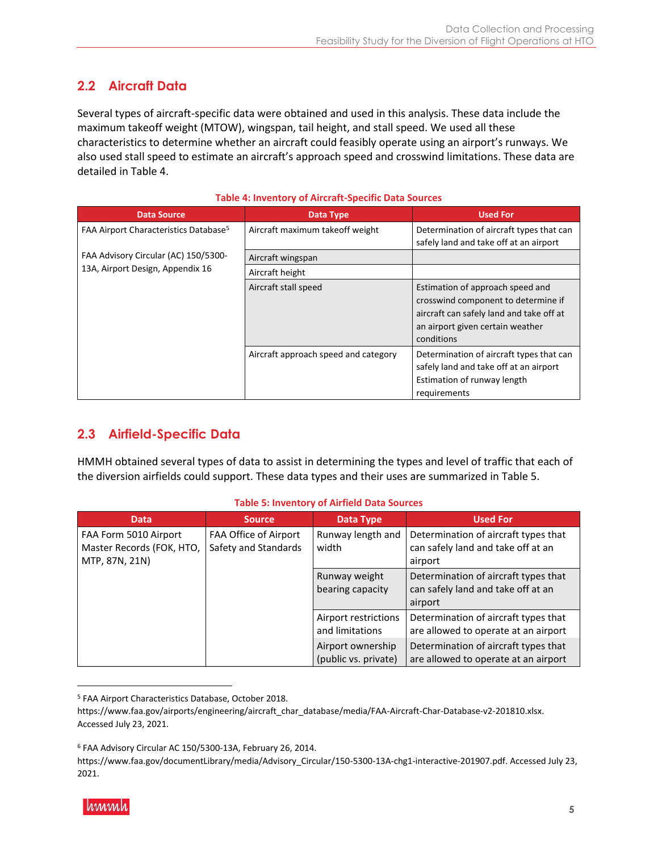### <span id="page-10-0"></span>**2.2 Aircraft Data**

Several types of aircraft-specific data were obtained and used in this analysis. These data include the maximum takeoff weight (MTOW), wingspan, tail height, and stall speed. We used all these characteristics to determine whether an aircraft could feasibly operate using an airport's runways. We also used stall speed to estimate an aircraft's approach speed and crosswind limitations. These data are detailed in [Table 4.](#page-10-2)

<span id="page-10-2"></span>

| <b>Data Source</b>                                | Data Type                            | <b>Used For</b>                                                                                                                                                       |
|---------------------------------------------------|--------------------------------------|-----------------------------------------------------------------------------------------------------------------------------------------------------------------------|
| FAA Airport Characteristics Database <sup>5</sup> | Aircraft maximum takeoff weight      | Determination of aircraft types that can<br>safely land and take off at an airport                                                                                    |
| FAA Advisory Circular (AC) 150/5300-              | Aircraft wingspan                    |                                                                                                                                                                       |
| 13A, Airport Design, Appendix 16                  | Aircraft height                      |                                                                                                                                                                       |
|                                                   | Aircraft stall speed                 | Estimation of approach speed and<br>crosswind component to determine if<br>aircraft can safely land and take off at<br>an airport given certain weather<br>conditions |
|                                                   | Aircraft approach speed and category | Determination of aircraft types that can<br>safely land and take off at an airport<br>Estimation of runway length<br>requirements                                     |

#### **Table 4: Inventory of Aircraft-Specific Data Sources**

### <span id="page-10-1"></span>**2.3 Airfield-Specific Data**

HMMH obtained several types of data to assist in determining the types and level of traffic that each of the diversion airfields could support. These data types and their uses are summarized in [Table 5.](#page-10-3)

<span id="page-10-3"></span>

| Data                                                                 | <b>Source</b>                                 | Data Type                                 | <b>Used For</b>                                                                       |
|----------------------------------------------------------------------|-----------------------------------------------|-------------------------------------------|---------------------------------------------------------------------------------------|
| FAA Form 5010 Airport<br>Master Records (FOK, HTO,<br>MTP, 87N, 21N) | FAA Office of Airport<br>Safety and Standards | Runway length and<br>width                | Determination of aircraft types that<br>can safely land and take off at an<br>airport |
|                                                                      |                                               | Runway weight<br>bearing capacity         | Determination of aircraft types that<br>can safely land and take off at an<br>airport |
|                                                                      |                                               | Airport restrictions<br>and limitations   | Determination of aircraft types that<br>are allowed to operate at an airport          |
|                                                                      |                                               | Airport ownership<br>(public vs. private) | Determination of aircraft types that<br>are allowed to operate at an airport          |

#### **Table 5: Inventory of Airfield Data Sources**

[https://www.faa.gov/documentLibrary/media/Advisory\\_Circular/150-5300-13A-chg1-interactive-201907.pdf.](https://www.faa.gov/documentLibrary/media/Advisory_Circular/150-5300-13A-chg1-interactive-201907.pdf) Accessed July 23, 2021.



<sup>5</sup> FAA Airport Characteristics Database, October 2018.

[https://www.faa.gov/airports/engineering/aircraft\\_char\\_database/media/FAA-Aircraft-Char-Database-v2-201810.xlsx.](https://www.faa.gov/airports/engineering/aircraft_char_database/media/FAA-Aircraft-Char-Database-v2-201810.xlsx)  Accessed July 23, 2021.

<sup>6</sup> FAA Advisory Circular AC 150/5300-13A, February 26, 2014.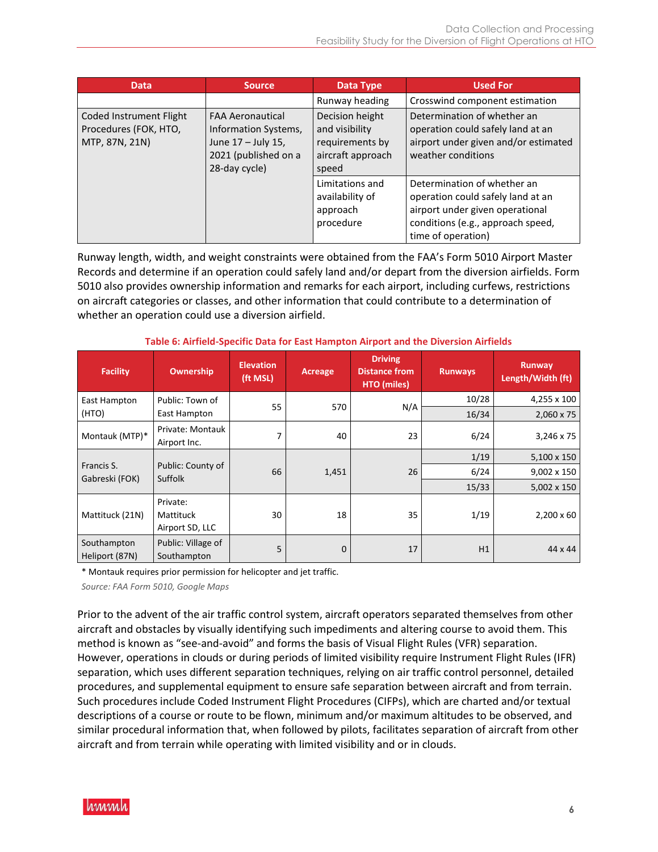| <b>Data</b>                                                        | <b>Source</b>                                                                                                  | Data Type                                                                          | <b>Used For</b>                                                                                                                                                |
|--------------------------------------------------------------------|----------------------------------------------------------------------------------------------------------------|------------------------------------------------------------------------------------|----------------------------------------------------------------------------------------------------------------------------------------------------------------|
|                                                                    |                                                                                                                | Runway heading                                                                     | Crosswind component estimation                                                                                                                                 |
| Coded Instrument Flight<br>Procedures (FOK, HTO,<br>MTP, 87N, 21N) | <b>FAA Aeronautical</b><br>Information Systems,<br>June 17 - July 15,<br>2021 (published on a<br>28-day cycle) | Decision height<br>and visibility<br>requirements by<br>aircraft approach<br>speed | Determination of whether an<br>operation could safely land at an<br>airport under given and/or estimated<br>weather conditions                                 |
|                                                                    |                                                                                                                | Limitations and<br>availability of<br>approach<br>procedure                        | Determination of whether an<br>operation could safely land at an<br>airport under given operational<br>conditions (e.g., approach speed,<br>time of operation) |

Runway length, width, and weight constraints were obtained from the FAA's Form 5010 Airport Master Records and determine if an operation could safely land and/or depart from the diversion airfields. Form 5010 also provides ownership information and remarks for each airport, including curfews, restrictions on aircraft categories or classes, and other information that could contribute to a determination of whether an operation could use a diversion airfield.

<span id="page-11-0"></span>

| <b>Facility</b>               | Ownership                                | <b>Elevation</b><br>(ft MSL) | Acreage | <b>Driving</b><br><b>Distance from</b><br><b>HTO (miles)</b> | <b>Runways</b> | <b>Runway</b><br>Length/Width (ft) |
|-------------------------------|------------------------------------------|------------------------------|---------|--------------------------------------------------------------|----------------|------------------------------------|
| East Hampton                  | Public: Town of                          | 55                           | 570     |                                                              | 10/28          | 4,255 x 100                        |
| (HTO)                         | East Hampton                             |                              |         | N/A                                                          | 16/34          | 2,060 x 75                         |
| Montauk (MTP)*                | Private: Montauk<br>Airport Inc.         |                              | 40      | 23                                                           | 6/24           | 3,246 x 75                         |
|                               |                                          |                              |         |                                                              | 1/19           | 5,100 x 150                        |
| Francis S.<br>Gabreski (FOK)  | Public: County of<br><b>Suffolk</b>      | 66                           | 1,451   | 26                                                           | 6/24           | $9,002 \times 150$                 |
|                               |                                          |                              |         |                                                              | 15/33          | 5,002 x 150                        |
| Mattituck (21N)               | Private:<br>Mattituck<br>Airport SD, LLC | 30                           | 18      | 35                                                           | 1/19           | $2,200 \times 60$                  |
| Southampton<br>Heliport (87N) | Public: Village of<br>Southampton        | 5                            | 0       | 17                                                           | H1             | 44 x 44                            |

#### **Table 6: Airfield-Specific Data for East Hampton Airport and the Diversion Airfields**

\* Montauk requires prior permission for helicopter and jet traffic.

*Source: FAA Form 5010, Google Maps*

Prior to the advent of the air traffic control system, aircraft operators separated themselves from other aircraft and obstacles by visually identifying such impediments and altering course to avoid them. This method is known as "see-and-avoid" and forms the basis of Visual Flight Rules (VFR) separation. However, operations in clouds or during periods of limited visibility require Instrument Flight Rules (IFR) separation, which uses different separation techniques, relying on air traffic control personnel, detailed procedures, and supplemental equipment to ensure safe separation between aircraft and from terrain. Such procedures include Coded Instrument Flight Procedures (CIFPs), which are charted and/or textual descriptions of a course or route to be flown, minimum and/or maximum altitudes to be observed, and similar procedural information that, when followed by pilots, facilitates separation of aircraft from other aircraft and from terrain while operating with limited visibility and or in clouds.

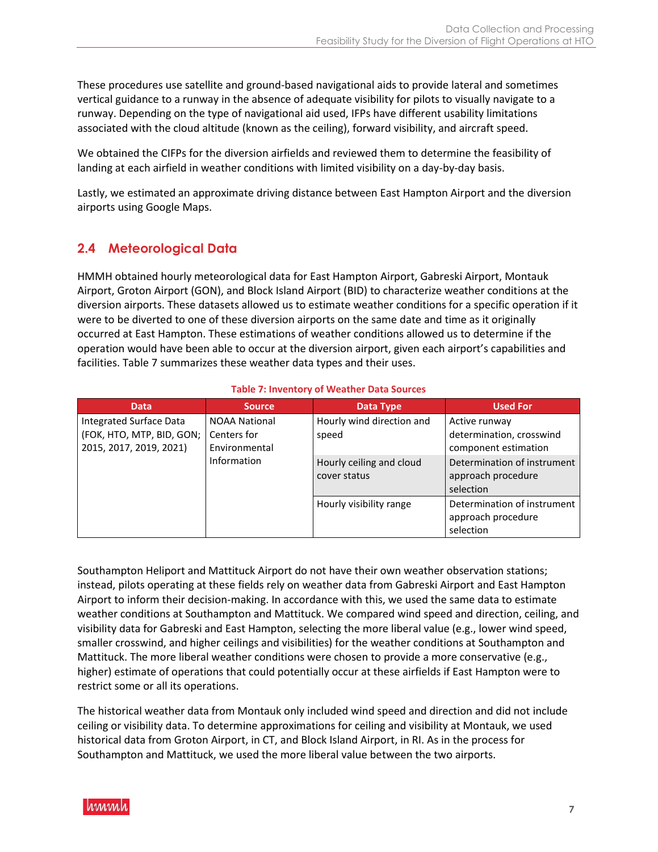These procedures use satellite and ground-based navigational aids to provide lateral and sometimes vertical guidance to a runway in the absence of adequate visibility for pilots to visually navigate to a runway. Depending on the type of navigational aid used, IFPs have different usability limitations associated with the cloud altitude (known as the ceiling), forward visibility, and aircraft speed.

We obtained the CIFPs for the diversion airfields and reviewed them to determine the feasibility of landing at each airfield in weather conditions with limited visibility on a day-by-day basis.

Lastly, we estimated an approximate driving distance between East Hampton Airport and the diversion airports using Google Maps.

### <span id="page-12-0"></span>**2.4 Meteorological Data**

HMMH obtained hourly meteorological data for East Hampton Airport, Gabreski Airport, Montauk Airport, Groton Airport (GON), and Block Island Airport (BID) to characterize weather conditions at the diversion airports. These datasets allowed us to estimate weather conditions for a specific operation if it were to be diverted to one of these diversion airports on the same date and time as it originally occurred at East Hampton. These estimations of weather conditions allowed us to determine if the operation would have been able to occur at the diversion airport, given each airport's capabilities and facilities. [Table 7](#page-12-1) summarizes these weather data types and their uses.

#### **Table 7: Inventory of Weather Data Sources**

<span id="page-12-1"></span>

| <b>Data</b>                                                                                                                                            | <b>Source</b>                            | Data Type                                                         | <b>Used For</b>                                                |
|--------------------------------------------------------------------------------------------------------------------------------------------------------|------------------------------------------|-------------------------------------------------------------------|----------------------------------------------------------------|
| Integrated Surface Data<br><b>NOAA National</b><br>(FOK, HTO, MTP, BID, GON;<br>Centers for<br>2015, 2017, 2019, 2021)<br>Environmental<br>Information | Hourly wind direction and<br>speed       | Active runway<br>determination, crosswind<br>component estimation |                                                                |
|                                                                                                                                                        | Hourly ceiling and cloud<br>cover status | Determination of instrument<br>approach procedure<br>selection    |                                                                |
|                                                                                                                                                        |                                          | Hourly visibility range                                           | Determination of instrument<br>approach procedure<br>selection |

Southampton Heliport and Mattituck Airport do not have their own weather observation stations; instead, pilots operating at these fields rely on weather data from Gabreski Airport and East Hampton Airport to inform their decision-making. In accordance with this, we used the same data to estimate weather conditions at Southampton and Mattituck. We compared wind speed and direction, ceiling, and visibility data for Gabreski and East Hampton, selecting the more liberal value (e.g., lower wind speed, smaller crosswind, and higher ceilings and visibilities) for the weather conditions at Southampton and Mattituck. The more liberal weather conditions were chosen to provide a more conservative (e.g., higher) estimate of operations that could potentially occur at these airfields if East Hampton were to restrict some or all its operations.

The historical weather data from Montauk only included wind speed and direction and did not include ceiling or visibility data. To determine approximations for ceiling and visibility at Montauk, we used historical data from Groton Airport, in CT, and Block Island Airport, in RI. As in the process for Southampton and Mattituck, we used the more liberal value between the two airports.

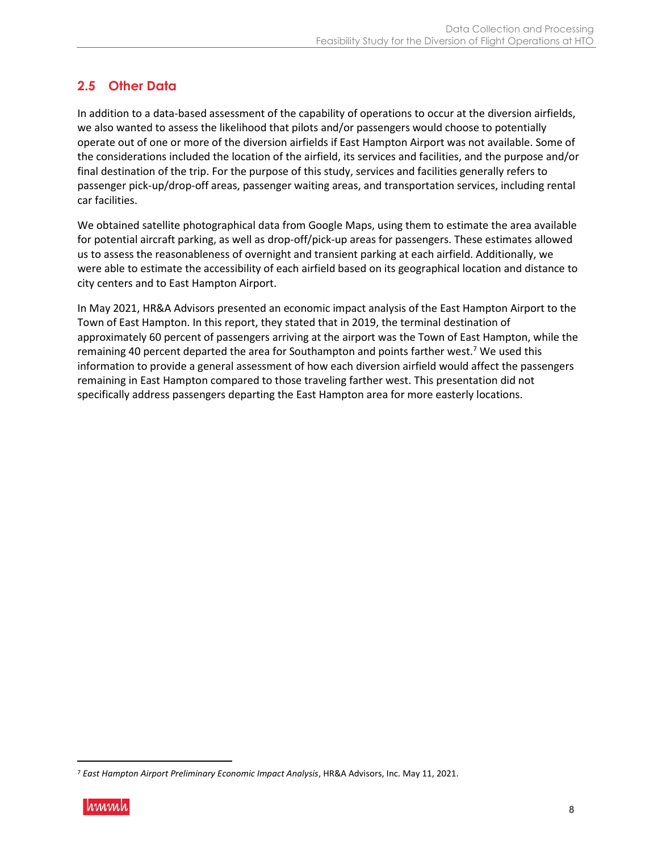### <span id="page-13-0"></span>**2.5 Other Data**

In addition to a data-based assessment of the capability of operations to occur at the diversion airfields, we also wanted to assess the likelihood that pilots and/or passengers would choose to potentially operate out of one or more of the diversion airfields if East Hampton Airport was not available. Some of the considerations included the location of the airfield, its services and facilities, and the purpose and/or final destination of the trip. For the purpose of this study, services and facilities generally refers to passenger pick-up/drop-off areas, passenger waiting areas, and transportation services, including rental car facilities.

We obtained satellite photographical data from Google Maps, using them to estimate the area available for potential aircraft parking, as well as drop-off/pick-up areas for passengers. These estimates allowed us to assess the reasonableness of overnight and transient parking at each airfield. Additionally, we were able to estimate the accessibility of each airfield based on its geographical location and distance to city centers and to East Hampton Airport.

In May 2021, HR&A Advisors presented an economic impact analysis of the East Hampton Airport to the Town of East Hampton. In this report, they stated that in 2019, the terminal destination of approximately 60 percent of passengers arriving at the airport was the Town of East Hampton, while the remaining 40 percent departed the area for Southampton and points farther west.<sup>7</sup> We used this information to provide a general assessment of how each diversion airfield would affect the passengers remaining in East Hampton compared to those traveling farther west. This presentation did not specifically address passengers departing the East Hampton area for more easterly locations.

<sup>7</sup> *East Hampton Airport Preliminary Economic Impact Analysis*, HR&A Advisors, Inc. May 11, 2021.

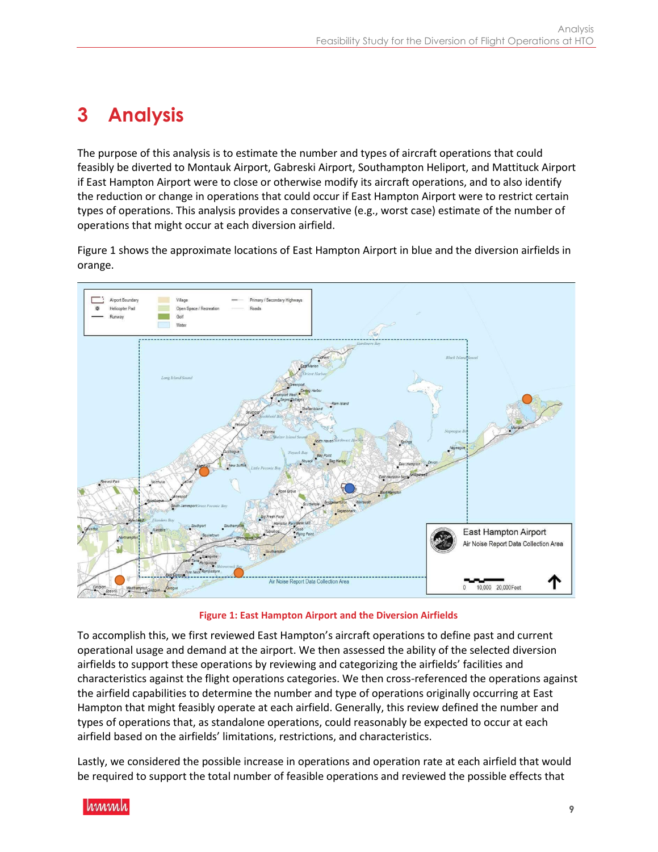## <span id="page-14-0"></span>**3 Analysis**

The purpose of this analysis is to estimate the number and types of aircraft operations that could feasibly be diverted to Montauk Airport, Gabreski Airport, Southampton Heliport, and Mattituck Airport if East Hampton Airport were to close or otherwise modify its aircraft operations, and to also identify the reduction or change in operations that could occur if East Hampton Airport were to restrict certain types of operations. This analysis provides a conservative (e.g., worst case) estimate of the number of operations that might occur at each diversion airfield.

[Figure 1](#page-14-1) shows the approximate locations of East Hampton Airport in blue and the diversion airfields in orange.



**Figure 1: East Hampton Airport and the Diversion Airfields**

<span id="page-14-1"></span>To accomplish this, we first reviewed East Hampton's aircraft operations to define past and current operational usage and demand at the airport. We then assessed the ability of the selected diversion airfields to support these operations by reviewing and categorizing the airfields' facilities and characteristics against the flight operations categories. We then cross-referenced the operations against the airfield capabilities to determine the number and type of operations originally occurring at East Hampton that might feasibly operate at each airfield. Generally, this review defined the number and types of operations that, as standalone operations, could reasonably be expected to occur at each airfield based on the airfields' limitations, restrictions, and characteristics.

Lastly, we considered the possible increase in operations and operation rate at each airfield that would be required to support the total number of feasible operations and reviewed the possible effects that

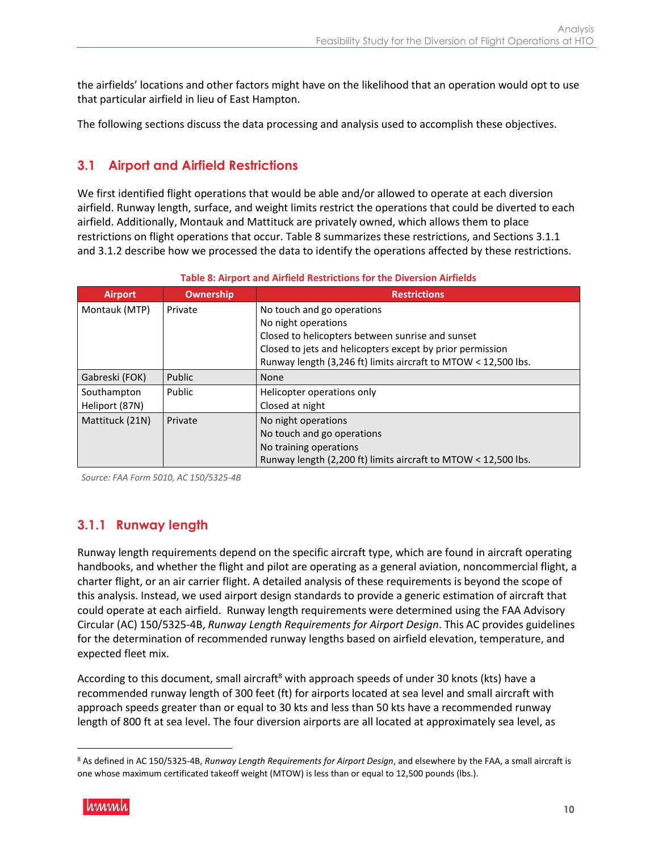the airfields' locations and other factors might have on the likelihood that an operation would opt to use that particular airfield in lieu of East Hampton.

The following sections discuss the data processing and analysis used to accomplish these objectives.

### <span id="page-15-0"></span>**3.1 Airport and Airfield Restrictions**

We first identified flight operations that would be able and/or allowed to operate at each diversion airfield. Runway length, surface, and weight limits restrict the operations that could be diverted to each airfield. Additionally, Montauk and Mattituck are privately owned, which allows them to place restrictions on flight operations that occur. [Table 8](#page-15-2) summarizes these restrictions, and Sections [3.1.1](#page-15-1) and [3.1.2](#page-16-0) describe how we processed the data to identify the operations affected by these restrictions.

<span id="page-15-2"></span>

| <b>Airport</b>                | <b>Ownership</b> | <b>Restrictions</b>                                                                                                                                                                                                                  |
|-------------------------------|------------------|--------------------------------------------------------------------------------------------------------------------------------------------------------------------------------------------------------------------------------------|
| Montauk (MTP)                 | Private          | No touch and go operations<br>No night operations<br>Closed to helicopters between sunrise and sunset<br>Closed to jets and helicopters except by prior permission<br>Runway length (3,246 ft) limits aircraft to MTOW < 12,500 lbs. |
| Gabreski (FOK)                | Public           | <b>None</b>                                                                                                                                                                                                                          |
| Southampton<br>Heliport (87N) | Public           | Helicopter operations only<br>Closed at night                                                                                                                                                                                        |
| Mattituck (21N)               | Private          | No night operations<br>No touch and go operations<br>No training operations<br>Runway length (2,200 ft) limits aircraft to MTOW < 12,500 lbs.                                                                                        |

|  | Table 8: Airport and Airfield Restrictions for the Diversion Airfields |  |  |  |  |  |
|--|------------------------------------------------------------------------|--|--|--|--|--|
|--|------------------------------------------------------------------------|--|--|--|--|--|

<span id="page-15-1"></span>*Source: FAA Form 5010, AC 150/5325-4B*

### **3.1.1 Runway length**

Runway length requirements depend on the specific aircraft type, which are found in aircraft operating handbooks, and whether the flight and pilot are operating as a general aviation, noncommercial flight, a charter flight, or an air carrier flight. A detailed analysis of these requirements is beyond the scope of this analysis. Instead, we used airport design standards to provide a generic estimation of aircraft that could operate at each airfield. Runway length requirements were determined using the FAA Advisory Circular (AC) 150/5325-4B, *Runway Length Requirements for Airport Design*. This AC provides guidelines for the determination of recommended runway lengths based on airfield elevation, temperature, and expected fleet mix.

According to this document, small aircraft<sup>8</sup> with approach speeds of under 30 knots (kts) have a recommended runway length of 300 feet (ft) for airports located at sea level and small aircraft with approach speeds greater than or equal to 30 kts and less than 50 kts have a recommended runway length of 800 ft at sea level. The four diversion airports are all located at approximately sea level, as

<sup>8</sup> As defined in AC 150/5325-4B, *Runway Length Requirements for Airport Design*, and elsewhere by the FAA, a small aircraft is one whose maximum certificated takeoff weight (MTOW) is less than or equal to 12,500 pounds (lbs.).

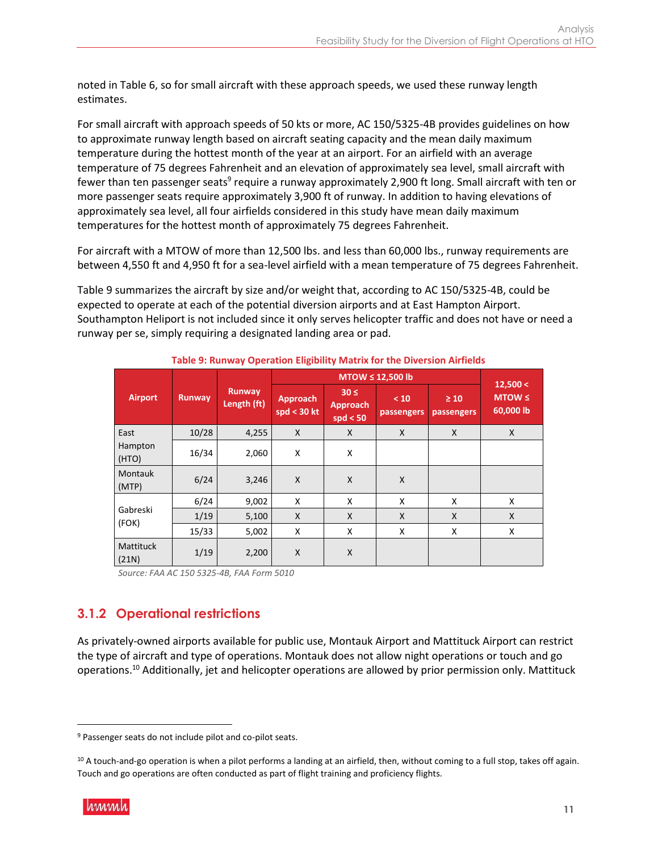noted in [Table 6,](#page-11-0) so for small aircraft with these approach speeds, we used these runway length estimates.

For small aircraft with approach speeds of 50 kts or more, AC 150/5325-4B provides guidelines on how to approximate runway length based on aircraft seating capacity and the mean daily maximum temperature during the hottest month of the year at an airport. For an airfield with an average temperature of 75 degrees Fahrenheit and an elevation of approximately sea level, small aircraft with fewer than ten passenger seats<sup>9</sup> require a runway approximately 2,900 ft long. Small aircraft with ten or more passenger seats require approximately 3,900 ft of runway. In addition to having elevations of approximately sea level, all four airfields considered in this study have mean daily maximum temperatures for the hottest month of approximately 75 degrees Fahrenheit.

For aircraft with a MTOW of more than 12,500 lbs. and less than 60,000 lbs., runway requirements are between 4,550 ft and 4,950 ft for a sea-level airfield with a mean temperature of 75 degrees Fahrenheit.

[Table 9](#page-16-1) summarizes the aircraft by size and/or weight that, according to AC 150/5325-4B, could be expected to operate at each of the potential diversion airports and at East Hampton Airport. Southampton Heliport is not included since it only serves helicopter traffic and does not have or need a runway per se, simply requiring a designated landing area or pad.

<span id="page-16-1"></span>

|                         |               |                              |                                  |                                          | MTOW $\leq$ 12,500 lb |                         |                                      |
|-------------------------|---------------|------------------------------|----------------------------------|------------------------------------------|-----------------------|-------------------------|--------------------------------------|
| <b>Airport</b>          | <b>Runway</b> | <b>Runway</b><br>Length (ft) | <b>Approach</b><br>$spd < 30$ kt | $30 \leq$<br><b>Approach</b><br>spd < 50 | < 10<br>passengers    | $\geq 10$<br>passengers | 12,500 <<br>$MTOW \leq$<br>60,000 lb |
| East                    | 10/28         | 4,255                        | X                                | X                                        | X                     | X                       | X                                    |
| Hampton<br>(HTO)        | 16/34         | 2,060                        | X                                | X                                        |                       |                         |                                      |
| <b>Montauk</b><br>(MTP) | 6/24          | 3,246                        | X                                | X                                        | X                     |                         |                                      |
|                         | 6/24          | 9,002                        | X                                | X                                        | X                     | X                       | X                                    |
| Gabreski<br>(FOK)       | 1/19          | 5,100                        | X                                | X                                        | X                     | X                       | X                                    |
|                         | 15/33         | 5,002                        | X                                | X                                        | X                     | X                       | X                                    |
| Mattituck<br>(21N)      | 1/19          | 2,200                        | X                                | X                                        |                       |                         |                                      |

#### **Table 9: Runway Operation Eligibility Matrix for the Diversion Airfields**

*Source: FAA AC 150 5325-4B, FAA Form 5010*

## <span id="page-16-0"></span>**3.1.2 Operational restrictions**

As privately-owned airports available for public use, Montauk Airport and Mattituck Airport can restrict the type of aircraft and type of operations. Montauk does not allow night operations or touch and go operations. <sup>10</sup> Additionally, jet and helicopter operations are allowed by prior permission only. Mattituck

 $10$  A touch-and-go operation is when a pilot performs a landing at an airfield, then, without coming to a full stop, takes off again. Touch and go operations are often conducted as part of flight training and proficiency flights.



<sup>9</sup> Passenger seats do not include pilot and co-pilot seats.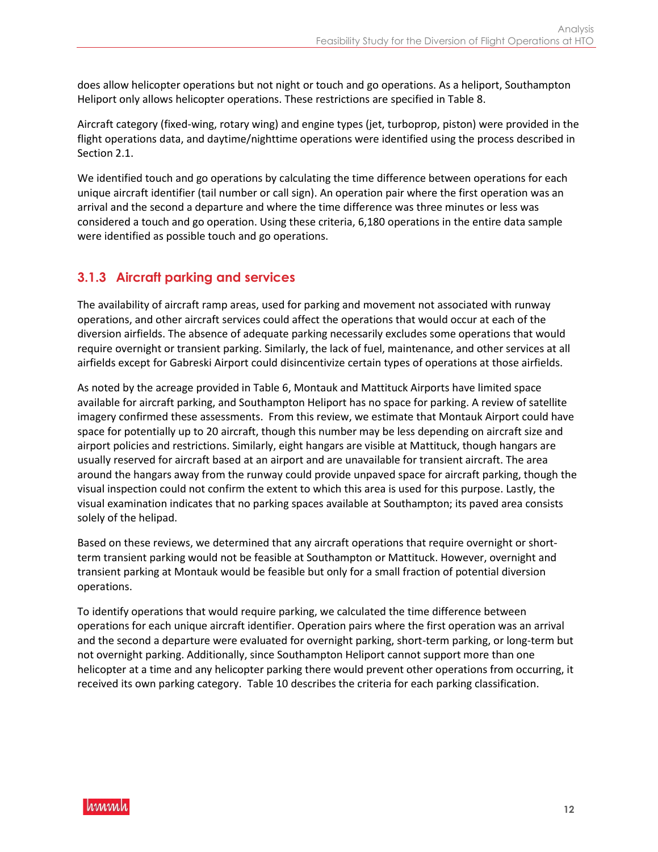does allow helicopter operations but not night or touch and go operations. As a heliport, Southampton Heliport only allows helicopter operations. These restrictions are specified in [Table 8.](#page-15-2)

Aircraft category (fixed-wing, rotary wing) and engine types (jet, turboprop, piston) were provided in the flight operations data, and daytime/nighttime operations were identified using the process described in Sectio[n 2.1.](#page-8-1)

We identified touch and go operations by calculating the time difference between operations for each unique aircraft identifier (tail number or call sign). An operation pair where the first operation was an arrival and the second a departure and where the time difference was three minutes or less was considered a touch and go operation. Using these criteria, 6,180 operations in the entire data sample were identified as possible touch and go operations.

### <span id="page-17-0"></span>**3.1.3 Aircraft parking and services**

The availability of aircraft ramp areas, used for parking and movement not associated with runway operations, and other aircraft services could affect the operations that would occur at each of the diversion airfields. The absence of adequate parking necessarily excludes some operations that would require overnight or transient parking. Similarly, the lack of fuel, maintenance, and other services at all airfields except for Gabreski Airport could disincentivize certain types of operations at those airfields.

As noted by the acreage provided i[n Table 6,](#page-11-0) Montauk and Mattituck Airports have limited space available for aircraft parking, and Southampton Heliport has no space for parking. A review of satellite imagery confirmed these assessments. From this review, we estimate that Montauk Airport could have space for potentially up to 20 aircraft, though this number may be less depending on aircraft size and airport policies and restrictions. Similarly, eight hangars are visible at Mattituck, though hangars are usually reserved for aircraft based at an airport and are unavailable for transient aircraft. The area around the hangars away from the runway could provide unpaved space for aircraft parking, though the visual inspection could not confirm the extent to which this area is used for this purpose. Lastly, the visual examination indicates that no parking spaces available at Southampton; its paved area consists solely of the helipad.

Based on these reviews, we determined that any aircraft operations that require overnight or shortterm transient parking would not be feasible at Southampton or Mattituck. However, overnight and transient parking at Montauk would be feasible but only for a small fraction of potential diversion operations.

To identify operations that would require parking, we calculated the time difference between operations for each unique aircraft identifier. Operation pairs where the first operation was an arrival and the second a departure were evaluated for overnight parking, short-term parking, or long-term but not overnight parking. Additionally, since Southampton Heliport cannot support more than one helicopter at a time and any helicopter parking there would prevent other operations from occurring, it received its own parking category. [Table 10](#page-18-3) describes the criteria for each parking classification.

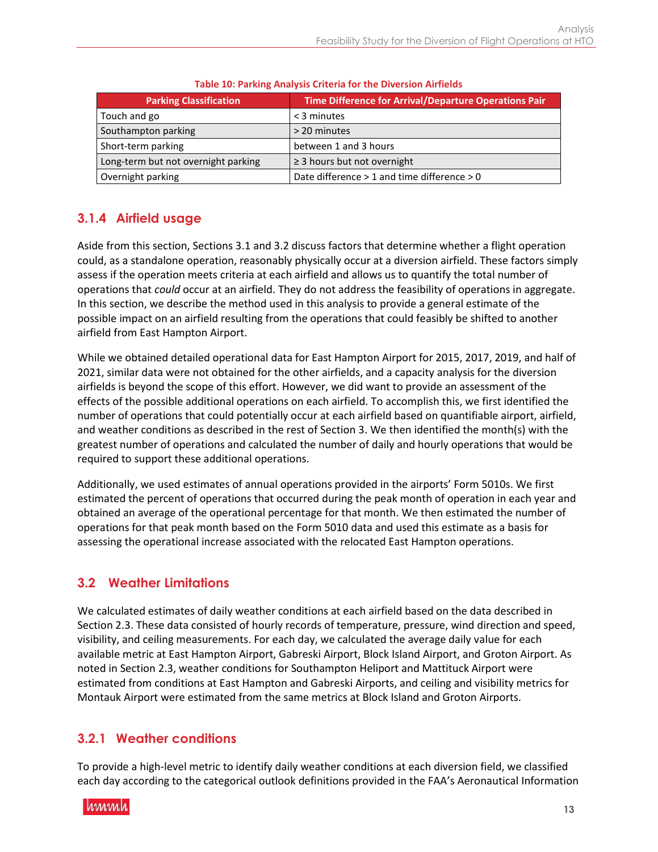<span id="page-18-3"></span>

| <b>Parking Classification</b>       | Time Difference for Arrival/Departure Operations Pair |
|-------------------------------------|-------------------------------------------------------|
| Touch and go                        | $<$ 3 minutes                                         |
| Southampton parking                 | > 20 minutes                                          |
| Short-term parking                  | between 1 and 3 hours                                 |
| Long-term but not overnight parking | $\geq$ 3 hours but not overnight                      |
| Overnight parking                   | Date difference > 1 and time difference > 0           |

**Table 10: Parking Analysis Criteria for the Diversion Airfields**

## <span id="page-18-0"></span>**3.1.4 Airfield usage**

Aside from this section, Sections [3.1](#page-15-0) and [3.2](#page-18-1) discuss factors that determine whether a flight operation could, as a standalone operation, reasonably physically occur at a diversion airfield. These factors simply assess if the operation meets criteria at each airfield and allows us to quantify the total number of operations that *could* occur at an airfield. They do not address the feasibility of operations in aggregate. In this section, we describe the method used in this analysis to provide a general estimate of the possible impact on an airfield resulting from the operations that could feasibly be shifted to another airfield from East Hampton Airport.

While we obtained detailed operational data for East Hampton Airport for 2015, 2017, 2019, and half of 2021, similar data were not obtained for the other airfields, and a capacity analysis for the diversion airfields is beyond the scope of this effort. However, we did want to provide an assessment of the effects of the possible additional operations on each airfield. To accomplish this, we first identified the number of operations that could potentially occur at each airfield based on quantifiable airport, airfield, and weather conditions as described in the rest of Sectio[n 3.](#page-14-0) We then identified the month(s) with the greatest number of operations and calculated the number of daily and hourly operations that would be required to support these additional operations.

Additionally, we used estimates of annual operations provided in the airports' Form 5010s. We first estimated the percent of operations that occurred during the peak month of operation in each year and obtained an average of the operational percentage for that month. We then estimated the number of operations for that peak month based on the Form 5010 data and used this estimate as a basis for assessing the operational increase associated with the relocated East Hampton operations.

## <span id="page-18-1"></span>**3.2 Weather Limitations**

We calculated estimates of daily weather conditions at each airfield based on the data described in Sectio[n 2.3.](#page-10-1) These data consisted of hourly records of temperature, pressure, wind direction and speed, visibility, and ceiling measurements. For each day, we calculated the average daily value for each available metric at East Hampton Airport, Gabreski Airport, Block Island Airport, and Groton Airport. As noted in Section [2.3,](#page-10-1) weather conditions for Southampton Heliport and Mattituck Airport were estimated from conditions at East Hampton and Gabreski Airports, and ceiling and visibility metrics for Montauk Airport were estimated from the same metrics at Block Island and Groton Airports.

## <span id="page-18-2"></span>**3.2.1 Weather conditions**

To provide a high-level metric to identify daily weather conditions at each diversion field, we classified each day according to the categorical outlook definitions provided in the FAA's Aeronautical Information

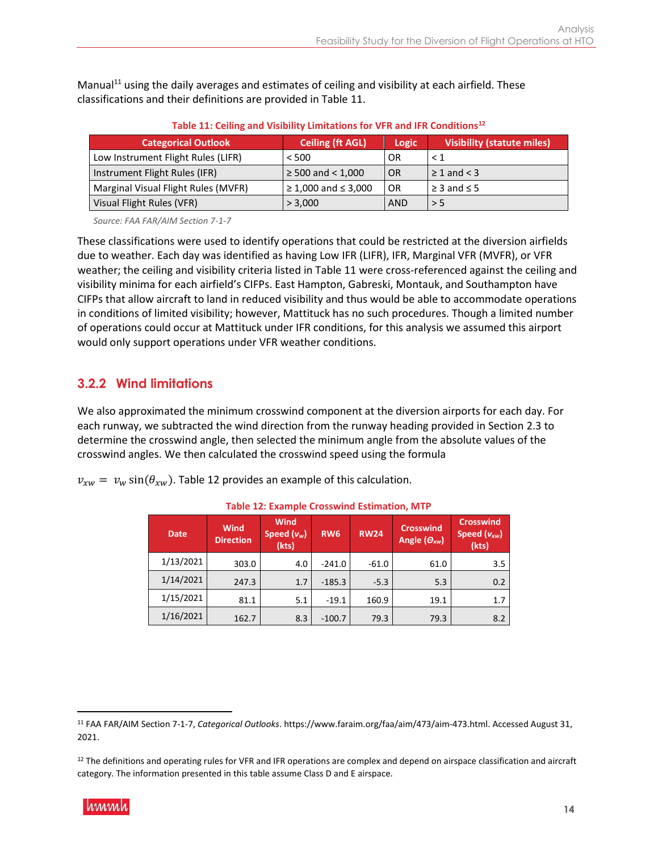Manual<sup>11</sup> using the daily averages and estimates of ceiling and visibility at each airfield. These classifications and their definitions are provided i[n Table 11.](#page-19-1)

<span id="page-19-1"></span>

| <b>Categorical Outlook</b>          | <b>Ceiling (ft AGL)</b>  | Logic      | <b>Visibility (statute miles)</b> |
|-------------------------------------|--------------------------|------------|-----------------------------------|
| Low Instrument Flight Rules (LIFR)  | < 500                    | 0R         | ← 1                               |
| Instrument Flight Rules (IFR)       | $\geq 500$ and $< 1,000$ | <b>OR</b>  | $\geq 1$ and $\leq 3$             |
| Marginal Visual Flight Rules (MVFR) | $≥ 1,000$ and ≤ 3,000    | 0R         | $\geq$ 3 and $\leq$ 5             |
| Visual Flight Rules (VFR)           | > 3,000                  | <b>AND</b> | > 5                               |

**Table 11: Ceiling and Visibility Limitations for VFR and IFR Conditions<sup>12</sup>**

*Source: FAA FAR/AIM Section 7-1-7*

These classifications were used to identify operations that could be restricted at the diversion airfields due to weather. Each day was identified as having Low IFR (LIFR), IFR, Marginal VFR (MVFR), or VFR weather; the ceiling and visibility criteria listed i[n Table 11](#page-19-1) were cross-referenced against the ceiling and visibility minima for each airfield's CIFPs. East Hampton, Gabreski, Montauk, and Southampton have CIFPs that allow aircraft to land in reduced visibility and thus would be able to accommodate operations in conditions of limited visibility; however, Mattituck has no such procedures. Though a limited number of operations could occur at Mattituck under IFR conditions, for this analysis we assumed this airport would only support operations under VFR weather conditions.

### <span id="page-19-0"></span>**3.2.2 Wind limitations**

We also approximated the minimum crosswind component at the diversion airports for each day. For each runway, we subtracted the wind direction from the runway heading provided in Section [2.3](#page-10-1) to determine the crosswind angle, then selected the minimum angle from the absolute values of the crosswind angles. We then calculated the crosswind speed using the formula

<span id="page-19-2"></span> $v_{xw} = v_w \sin(\theta_{xw})$ . [Table 12](#page-19-2) provides an example of this calculation.

| <b>Date</b> | Wind<br><b>Direction</b> | Wind<br>Speed $(v_w)$<br>(kts) | <b>RW6</b> | <b>RW24</b> | <b>Crosswind</b><br>Angle $(\mathcal{O}_{xw})$ | <b>Crosswind</b><br>Speed ( $v_{xw}$ )<br>(kts) |
|-------------|--------------------------|--------------------------------|------------|-------------|------------------------------------------------|-------------------------------------------------|
| 1/13/2021   | 303.0                    | 4.0                            | $-241.0$   | $-61.0$     | 61.0                                           | 3.5                                             |
| 1/14/2021   | 247.3                    | 1.7                            | $-185.3$   | $-5.3$      | 5.3                                            | 0.2                                             |
| 1/15/2021   | 81.1                     | 5.1                            | $-19.1$    | 160.9       | 19.1                                           | 1.7                                             |
| 1/16/2021   | 162.7                    | 8.3                            | $-100.7$   | 79.3        | 79.3                                           | 8.2                                             |

**Table 12: Example Crosswind Estimation, MTP**

<sup>&</sup>lt;sup>12</sup> The definitions and operating rules for VFR and IFR operations are complex and depend on airspace classification and aircraft category. The information presented in this table assume Class D and E airspace.



<sup>11</sup> FAA FAR/AIM Section 7-1-7, *Categorical Outlooks*[. https://www.faraim.org/faa/aim/473/aim-473.html.](https://www.faraim.org/faa/aim/473/aim-473.html) Accessed August 31, 2021.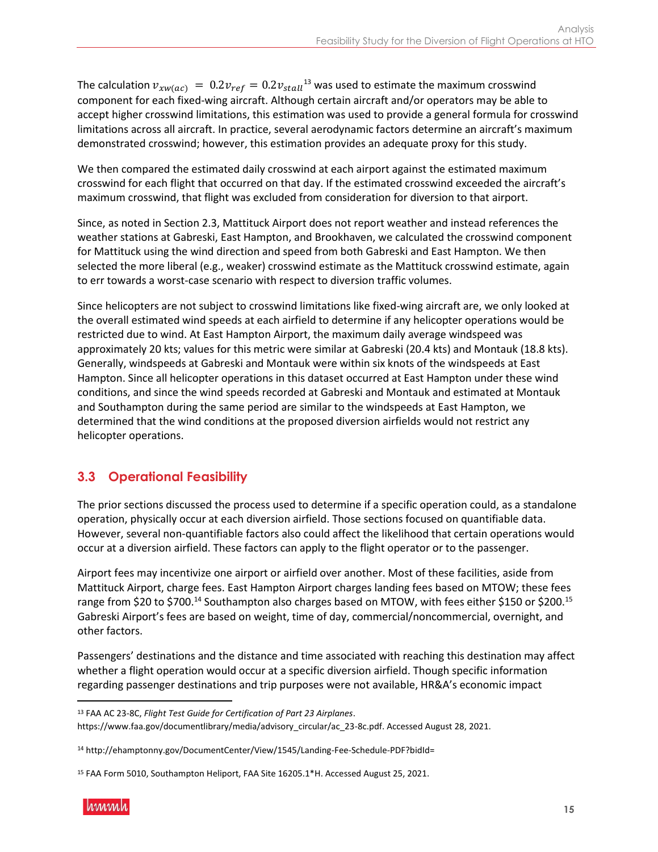The calculation  $v_{xw(ac)} = 0.2 v_{ref} = 0.2 v_{stall}$ <sup>13</sup> was used to estimate the maximum crosswind component for each fixed-wing aircraft. Although certain aircraft and/or operators may be able to accept higher crosswind limitations, this estimation was used to provide a general formula for crosswind limitations across all aircraft. In practice, several aerodynamic factors determine an aircraft's maximum demonstrated crosswind; however, this estimation provides an adequate proxy for this study.

We then compared the estimated daily crosswind at each airport against the estimated maximum crosswind for each flight that occurred on that day. If the estimated crosswind exceeded the aircraft's maximum crosswind, that flight was excluded from consideration for diversion to that airport.

Since, as noted in Section [2.3,](#page-10-1) Mattituck Airport does not report weather and instead references the weather stations at Gabreski, East Hampton, and Brookhaven, we calculated the crosswind component for Mattituck using the wind direction and speed from both Gabreski and East Hampton. We then selected the more liberal (e.g., weaker) crosswind estimate as the Mattituck crosswind estimate, again to err towards a worst-case scenario with respect to diversion traffic volumes.

Since helicopters are not subject to crosswind limitations like fixed-wing aircraft are, we only looked at the overall estimated wind speeds at each airfield to determine if any helicopter operations would be restricted due to wind. At East Hampton Airport, the maximum daily average windspeed was approximately 20 kts; values for this metric were similar at Gabreski (20.4 kts) and Montauk (18.8 kts). Generally, windspeeds at Gabreski and Montauk were within six knots of the windspeeds at East Hampton. Since all helicopter operations in this dataset occurred at East Hampton under these wind conditions, and since the wind speeds recorded at Gabreski and Montauk and estimated at Montauk and Southampton during the same period are similar to the windspeeds at East Hampton, we determined that the wind conditions at the proposed diversion airfields would not restrict any helicopter operations.

## <span id="page-20-0"></span>**3.3 Operational Feasibility**

The prior sections discussed the process used to determine if a specific operation could, as a standalone operation, physically occur at each diversion airfield. Those sections focused on quantifiable data. However, several non-quantifiable factors also could affect the likelihood that certain operations would occur at a diversion airfield. These factors can apply to the flight operator or to the passenger.

Airport fees may incentivize one airport or airfield over another. Most of these facilities, aside from Mattituck Airport, charge fees. East Hampton Airport charges landing fees based on MTOW; these fees range from \$20 to \$700.<sup>14</sup> Southampton also charges based on MTOW, with fees either \$150 or \$200.<sup>15</sup> Gabreski Airport's fees are based on weight, time of day, commercial/noncommercial, overnight, and other factors.

Passengers' destinations and the distance and time associated with reaching this destination may affect whether a flight operation would occur at a specific diversion airfield. Though specific information regarding passenger destinations and trip purposes were not available, HR&A's economic impact

<sup>15</sup> FAA Form 5010, Southampton Heliport, FAA Site 16205.1\*H. Accessed August 25, 2021.



<sup>13</sup> FAA AC 23-8C, *Flight Test Guide for Certification of Part 23 Airplanes*.

[https://www.faa.gov/documentlibrary/media/advisory\\_circular/ac\\_23-8c.pdf.](https://www.faa.gov/documentlibrary/media/advisory_circular/ac_23-8c.pdf) Accessed August 28, 2021.

<sup>14</sup> http://ehamptonny.gov/DocumentCenter/View/1545/Landing-Fee-Schedule-PDF?bidId=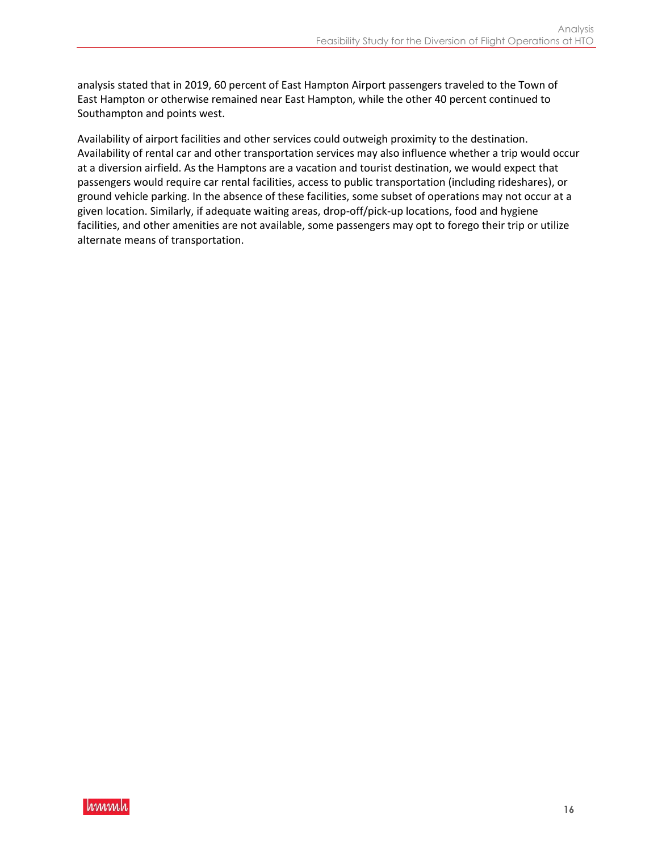analysis stated that in 2019, 60 percent of East Hampton Airport passengers traveled to the Town of East Hampton or otherwise remained near East Hampton, while the other 40 percent continued to Southampton and points west.

Availability of airport facilities and other services could outweigh proximity to the destination. Availability of rental car and other transportation services may also influence whether a trip would occur at a diversion airfield. As the Hamptons are a vacation and tourist destination, we would expect that passengers would require car rental facilities, access to public transportation (including rideshares), or ground vehicle parking. In the absence of these facilities, some subset of operations may not occur at a given location. Similarly, if adequate waiting areas, drop-off/pick-up locations, food and hygiene facilities, and other amenities are not available, some passengers may opt to forego their trip or utilize alternate means of transportation.

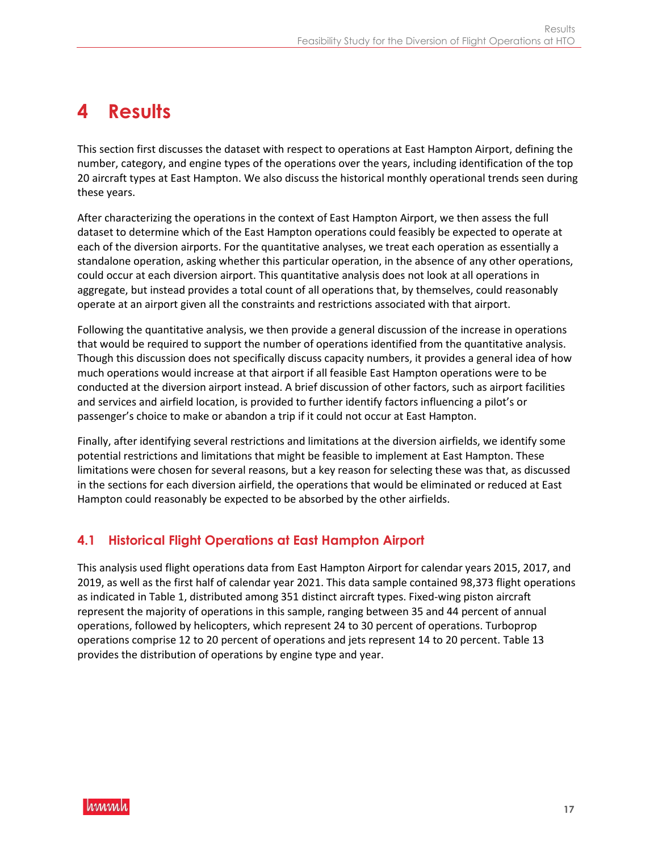## <span id="page-22-0"></span>**4 Results**

This section first discusses the dataset with respect to operations at East Hampton Airport, defining the number, category, and engine types of the operations over the years, including identification of the top 20 aircraft types at East Hampton. We also discuss the historical monthly operational trends seen during these years.

After characterizing the operations in the context of East Hampton Airport, we then assess the full dataset to determine which of the East Hampton operations could feasibly be expected to operate at each of the diversion airports. For the quantitative analyses, we treat each operation as essentially a standalone operation, asking whether this particular operation, in the absence of any other operations, could occur at each diversion airport. This quantitative analysis does not look at all operations in aggregate, but instead provides a total count of all operations that, by themselves, could reasonably operate at an airport given all the constraints and restrictions associated with that airport.

Following the quantitative analysis, we then provide a general discussion of the increase in operations that would be required to support the number of operations identified from the quantitative analysis. Though this discussion does not specifically discuss capacity numbers, it provides a general idea of how much operations would increase at that airport if all feasible East Hampton operations were to be conducted at the diversion airport instead. A brief discussion of other factors, such as airport facilities and services and airfield location, is provided to further identify factors influencing a pilot's or passenger's choice to make or abandon a trip if it could not occur at East Hampton.

Finally, after identifying several restrictions and limitations at the diversion airfields, we identify some potential restrictions and limitations that might be feasible to implement at East Hampton. These limitations were chosen for several reasons, but a key reason for selecting these was that, as discussed in the sections for each diversion airfield, the operations that would be eliminated or reduced at East Hampton could reasonably be expected to be absorbed by the other airfields.

## <span id="page-22-1"></span>**4.1 Historical Flight Operations at East Hampton Airport**

This analysis used flight operations data from East Hampton Airport for calendar years 2015, 2017, and 2019, as well as the first half of calendar year 2021. This data sample contained 98,373 flight operations as indicated in [Table 1,](#page-8-2) distributed among 351 distinct aircraft types. Fixed-wing piston aircraft represent the majority of operations in this sample, ranging between 35 and 44 percent of annual operations, followed by helicopters, which represent 24 to 30 percent of operations. Turboprop operations comprise 12 to 20 percent of operations and jets represent 14 to 20 percent. [Table 13](#page-23-0) provides the distribution of operations by engine type and year.

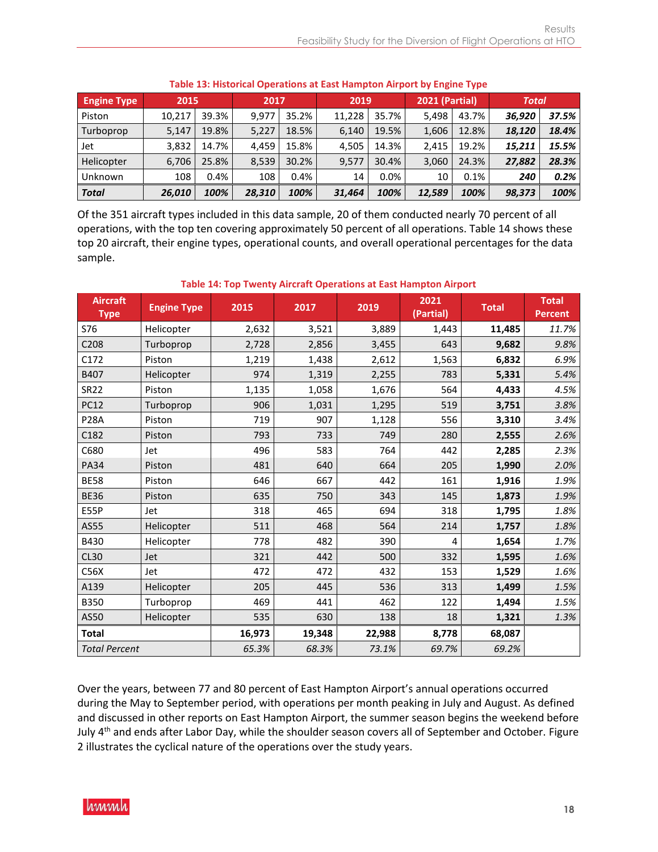<span id="page-23-0"></span>

| <b>Engine Type</b> | 2015   |       | 2017   |       | 2019   |         | <b>2021 (Partial)</b> |       | <b>Total</b> |       |
|--------------------|--------|-------|--------|-------|--------|---------|-----------------------|-------|--------------|-------|
| Piston             | 10.217 | 39.3% | 9.977  | 35.2% | 11.228 | 35.7%   | 5,498                 | 43.7% | 36.920       | 37.5% |
| Turboprop          | 5,147  | 19.8% | 5,227  | 18.5% | 6.140  | 19.5%   | 1,606                 | 12.8% | 18,120       | 18.4% |
| Jet                | 3,832  | 14.7% | 4.459  | 15.8% | 4.505  | 14.3%   | 2,415                 | 19.2% | 15.211       | 15.5% |
| Helicopter         | 6,706  | 25.8% | 8,539  | 30.2% | 9,577  | 30.4%   | 3,060                 | 24.3% | 27,882       | 28.3% |
| Unknown            | 108    | 0.4%  | 108    | 0.4%  | 14     | $0.0\%$ | 10                    | 0.1%  | 240          | 0.2%  |
| <b>Total</b>       | 26,010 | 100%  | 28,310 | 100%  | 31,464 | 100%    | 12,589                | 100%  | 98,373       | 100%  |

#### **Table 13: Historical Operations at East Hampton Airport by Engine Type**

Of the 351 aircraft types included in this data sample, 20 of them conducted nearly 70 percent of all operations, with the top ten covering approximately 50 percent of all operations. [Table 14](#page-23-1) shows these top 20 aircraft, their engine types, operational counts, and overall operational percentages for the data sample.

<span id="page-23-1"></span>

|                                |                    | Table 24. Top Twenty America operations at East Hampton Amport |        |        |                   |              |                                |
|--------------------------------|--------------------|----------------------------------------------------------------|--------|--------|-------------------|--------------|--------------------------------|
| <b>Aircraft</b><br><b>Type</b> | <b>Engine Type</b> | 2015                                                           | 2017   | 2019   | 2021<br>(Partial) | <b>Total</b> | <b>Total</b><br><b>Percent</b> |
| S76                            | Helicopter         | 2,632                                                          | 3,521  | 3,889  | 1,443             | 11,485       | 11.7%                          |
| C208                           | Turboprop          | 2,728                                                          | 2,856  | 3,455  | 643               | 9,682        | 9.8%                           |
| C172                           | Piston             | 1,219                                                          | 1,438  | 2,612  | 1,563             | 6,832        | 6.9%                           |
| B407                           | Helicopter         | 974                                                            | 1,319  | 2,255  | 783               | 5,331        | 5.4%                           |
| <b>SR22</b>                    | Piston             | 1,135                                                          | 1,058  | 1,676  | 564               | 4,433        | 4.5%                           |
| <b>PC12</b>                    | Turboprop          | 906                                                            | 1,031  | 1,295  | 519               | 3,751        | 3.8%                           |
| <b>P28A</b>                    | Piston             | 719                                                            | 907    | 1,128  | 556               | 3,310        | 3.4%                           |
| C182                           | Piston             | 793                                                            | 733    | 749    | 280               | 2,555        | 2.6%                           |
| C680                           | Jet                | 496                                                            | 583    | 764    | 442               | 2,285        | 2.3%                           |
| <b>PA34</b>                    | Piston             | 481                                                            | 640    | 664    | 205               | 1,990        | 2.0%                           |
| <b>BE58</b>                    | Piston             | 646                                                            | 667    | 442    | 161               | 1,916        | 1.9%                           |
| <b>BE36</b>                    | Piston             | 635                                                            | 750    | 343    | 145               | 1,873        | 1.9%                           |
| E55P                           | Jet                | 318                                                            | 465    | 694    | 318               | 1,795        | 1.8%                           |
| AS55                           | Helicopter         | 511                                                            | 468    | 564    | 214               | 1,757        | 1.8%                           |
| B430                           | Helicopter         | 778                                                            | 482    | 390    | 4                 | 1,654        | 1.7%                           |
| <b>CL30</b>                    | <b>Jet</b>         | 321                                                            | 442    | 500    | 332               | 1,595        | 1.6%                           |
| C56X                           | Jet                | 472                                                            | 472    | 432    | 153               | 1,529        | 1.6%                           |
| A139                           | Helicopter         | 205                                                            | 445    | 536    | 313               | 1,499        | 1.5%                           |
| <b>B350</b>                    | Turboprop          | 469                                                            | 441    | 462    | 122               | 1,494        | 1.5%                           |
| AS50                           | Helicopter         | 535                                                            | 630    | 138    | 18                | 1,321        | 1.3%                           |
| <b>Total</b>                   |                    | 16,973                                                         | 19,348 | 22,988 | 8,778             | 68,087       |                                |
| <b>Total Percent</b>           |                    | 65.3%                                                          | 68.3%  | 73.1%  | 69.7%             | 69.2%        |                                |

**Table 14: Top Twenty Aircraft Operations at East Hampton Airport**

Over the years, between 77 and 80 percent of East Hampton Airport's annual operations occurred during the May to September period, with operations per month peaking in July and August. As defined and discussed in other reports on East Hampton Airport, the summer season begins the weekend before July 4<sup>th</sup> and ends after Labor Day, while the shoulder season covers all of September and October. Figure [2](#page-24-1) illustrates the cyclical nature of the operations over the study years.

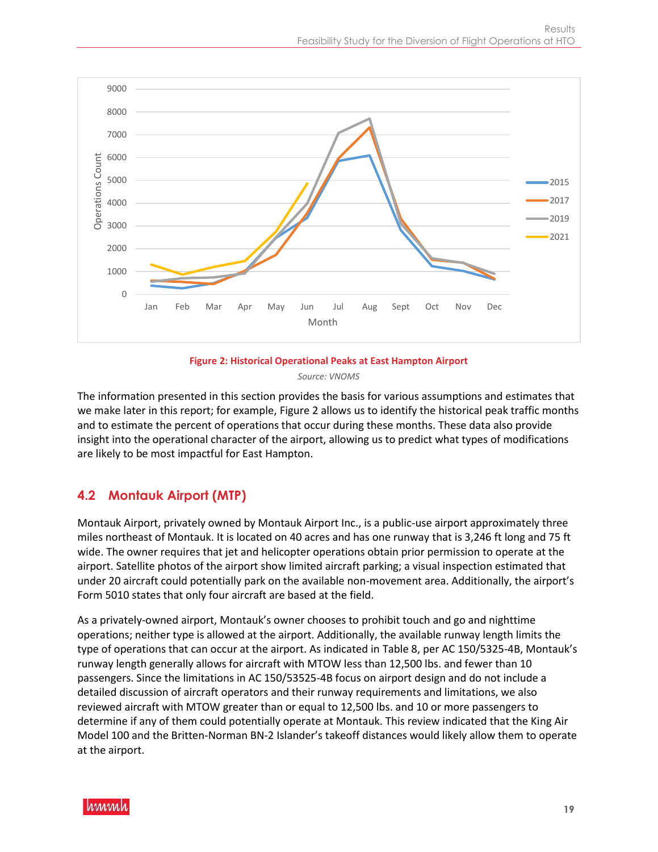

#### **Figure 2: Historical Operational Peaks at East Hampton Airport** *Source: VNOMS*

<span id="page-24-1"></span>The information presented in this section provides the basis for various assumptions and estimates that we make later in this report; for example, [Figure 2](#page-24-1) allows us to identify the historical peak traffic months and to estimate the percent of operations that occur during these months. These data also provide insight into the operational character of the airport, allowing us to predict what types of modifications are likely to be most impactful for East Hampton.

## <span id="page-24-0"></span>**4.2 Montauk Airport (MTP)**

Montauk Airport, privately owned by Montauk Airport Inc., is a public-use airport approximately three miles northeast of Montauk. It is located on 40 acres and has one runway that is 3,246 ft long and 75 ft wide. The owner requires that jet and helicopter operations obtain prior permission to operate at the airport. Satellite photos of the airport show limited aircraft parking; a visual inspection estimated that under 20 aircraft could potentially park on the available non-movement area. Additionally, the airport's Form 5010 states that only four aircraft are based at the field.

As a privately-owned airport, Montauk's owner chooses to prohibit touch and go and nighttime operations; neither type is allowed at the airport. Additionally, the available runway length limits the type of operations that can occur at the airport. As indicated in [Table 8,](#page-15-2) per AC 150/5325-4B, Montauk's runway length generally allows for aircraft with MTOW less than 12,500 lbs. and fewer than 10 passengers. Since the limitations in AC 150/53525-4B focus on airport design and do not include a detailed discussion of aircraft operators and their runway requirements and limitations, we also reviewed aircraft with MTOW greater than or equal to 12,500 lbs. and 10 or more passengers to determine if any of them could potentially operate at Montauk. This review indicated that the King Air Model 100 and the Britten-Norman BN-2 Islander's takeoff distances would likely allow them to operate at the airport.

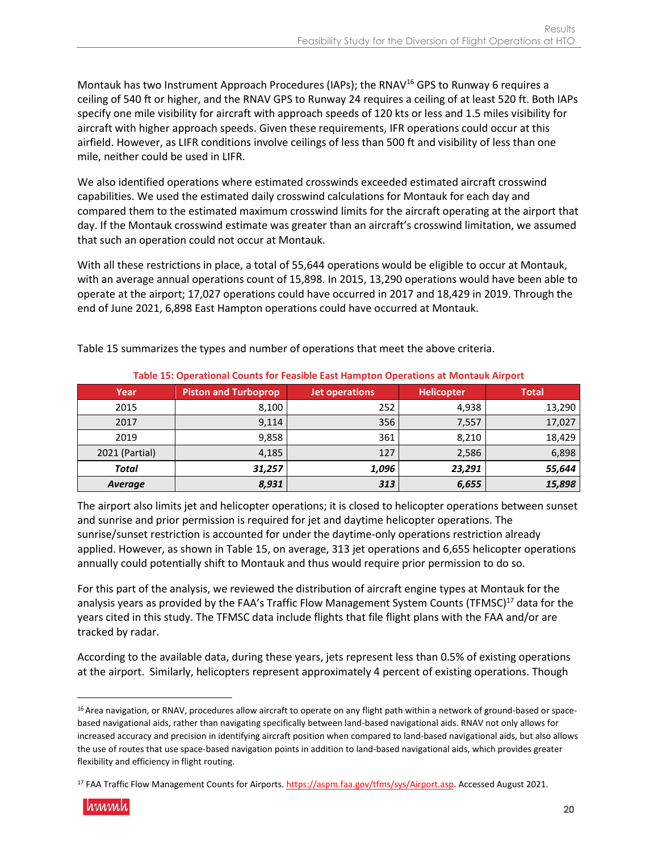Montauk has two Instrument Approach Procedures (IAPs); the RNAV<sup>16</sup> GPS to Runway 6 requires a ceiling of 540 ft or higher, and the RNAV GPS to Runway 24 requires a ceiling of at least 520 ft. Both IAPs specify one mile visibility for aircraft with approach speeds of 120 kts or less and 1.5 miles visibility for aircraft with higher approach speeds. Given these requirements, IFR operations could occur at this airfield. However, as LIFR conditions involve ceilings of less than 500 ft and visibility of less than one mile, neither could be used in LIFR.

We also identified operations where estimated crosswinds exceeded estimated aircraft crosswind capabilities. We used the estimated daily crosswind calculations for Montauk for each day and compared them to the estimated maximum crosswind limits for the aircraft operating at the airport that day. If the Montauk crosswind estimate was greater than an aircraft's crosswind limitation, we assumed that such an operation could not occur at Montauk.

With all these restrictions in place, a total of 55,644 operations would be eligible to occur at Montauk, with an average annual operations count of 15,898. In 2015, 13,290 operations would have been able to operate at the airport; 17,027 operations could have occurred in 2017 and 18,429 in 2019. Through the end of June 2021, 6,898 East Hampton operations could have occurred at Montauk.

<span id="page-25-0"></span>

| Table 15: Operational Counts for Feasible East Hampton Operations at Montauk Airport |                             |                |                   |              |  |  |  |  |
|--------------------------------------------------------------------------------------|-----------------------------|----------------|-------------------|--------------|--|--|--|--|
| Year                                                                                 | <b>Piston and Turboprop</b> | Jet operations | <b>Helicopter</b> | <b>Total</b> |  |  |  |  |
| 2015                                                                                 | 8,100                       | 252            | 4,938             | 13,290       |  |  |  |  |
| 2017                                                                                 | 9.114                       | 356            | 7,557             | 17,027       |  |  |  |  |
| 2019                                                                                 | 9,858                       | 361            | 8,210             | 18,429       |  |  |  |  |
| 2021 (Partial)                                                                       | 4.185                       | 127            | 2,586             | 6,898        |  |  |  |  |
| Total                                                                                | 31,257                      | 1,096          | 23,291            | 55,644       |  |  |  |  |
| <b>Average</b>                                                                       | 8,931                       | 313            | 6,655             | 15,898       |  |  |  |  |

[Table 15](#page-25-0) summarizes the types and number of operations that meet the above criteria.

The airport also limits jet and helicopter operations; it is closed to helicopter operations between sunset and sunrise and prior permission is required for jet and daytime helicopter operations. The sunrise/sunset restriction is accounted for under the daytime-only operations restriction already applied. However, as shown i[n Table 15,](#page-25-0) on average, 313 jet operations and 6,655 helicopter operations annually could potentially shift to Montauk and thus would require prior permission to do so.

For this part of the analysis, we reviewed the distribution of aircraft engine types at Montauk for the analysis years as provided by the FAA's Traffic Flow Management System Counts (TFMSC)<sup>17</sup> data for the years cited in this study. The TFMSC data include flights that file flight plans with the FAA and/or are tracked by radar.

According to the available data, during these years, jets represent less than 0.5% of existing operations at the airport. Similarly, helicopters represent approximately 4 percent of existing operations. Though

<sup>&</sup>lt;sup>17</sup> FAA Traffic Flow Management Counts for Airports[. https://aspm.faa.gov/tfms/sys/Airport.asp.](https://aspm.faa.gov/tfms/sys/Airport.asp) Accessed August 2021.



<sup>&</sup>lt;sup>16</sup> Area navigation, or RNAV, procedures allow aircraft to operate on any flight path within a network of ground-based or spacebased navigational aids, rather than navigating specifically between land-based navigational aids. RNAV not only allows for increased accuracy and precision in identifying aircraft position when compared to land-based navigational aids, but also allows the use of routes that use space-based navigation points in addition to land-based navigational aids, which provides greater flexibility and efficiency in flight routing.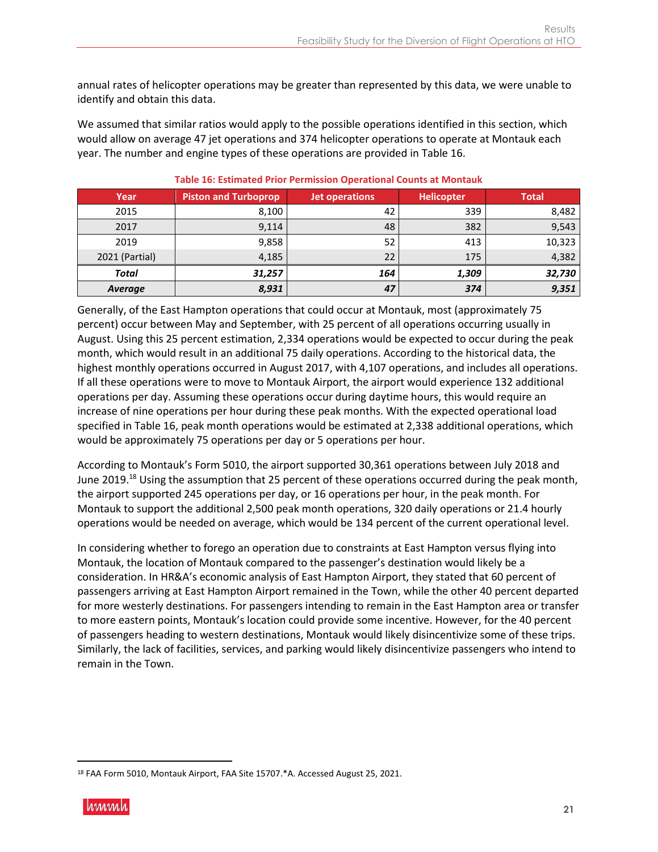annual rates of helicopter operations may be greater than represented by this data, we were unable to identify and obtain this data.

We assumed that similar ratios would apply to the possible operations identified in this section, which would allow on average 47 jet operations and 374 helicopter operations to operate at Montauk each year. The number and engine types of these operations are provided i[n Table 16.](#page-26-0)

<span id="page-26-0"></span>

| Year           | <b>Piston and Turboprop</b> | Jet operations | <b>Helicopter</b> | <b>Total</b> |
|----------------|-----------------------------|----------------|-------------------|--------------|
| 2015           | 8,100                       | 42             | 339               | 8,482        |
| 2017           | 9,114                       | 48             | 382               | 9,543        |
| 2019           | 9,858                       | 52             | 413               | 10,323       |
| 2021 (Partial) | 4,185                       | 22             | 175               | 4,382        |
| <b>Total</b>   | 31,257                      | 164            | 1,309             | 32,730       |
| Average        | 8,931                       | 47             | 374               | 9,351        |

**Table 16: Estimated Prior Permission Operational Counts at Montauk**

Generally, of the East Hampton operations that could occur at Montauk, most (approximately 75 percent) occur between May and September, with 25 percent of all operations occurring usually in August. Using this 25 percent estimation, 2,334 operations would be expected to occur during the peak month, which would result in an additional 75 daily operations. According to the historical data, the highest monthly operations occurred in August 2017, with 4,107 operations, and includes all operations. If all these operations were to move to Montauk Airport, the airport would experience 132 additional operations per day. Assuming these operations occur during daytime hours, this would require an increase of nine operations per hour during these peak months. With the expected operational load specified in [Table 16,](#page-26-0) peak month operations would be estimated at 2,338 additional operations, which would be approximately 75 operations per day or 5 operations per hour.

According to Montauk's Form 5010, the airport supported 30,361 operations between July 2018 and June 2019.<sup>18</sup> Using the assumption that 25 percent of these operations occurred during the peak month, the airport supported 245 operations per day, or 16 operations per hour, in the peak month. For Montauk to support the additional 2,500 peak month operations, 320 daily operations or 21.4 hourly operations would be needed on average, which would be 134 percent of the current operational level.

In considering whether to forego an operation due to constraints at East Hampton versus flying into Montauk, the location of Montauk compared to the passenger's destination would likely be a consideration. In HR&A's economic analysis of East Hampton Airport, they stated that 60 percent of passengers arriving at East Hampton Airport remained in the Town, while the other 40 percent departed for more westerly destinations. For passengers intending to remain in the East Hampton area or transfer to more eastern points, Montauk's location could provide some incentive. However, for the 40 percent of passengers heading to western destinations, Montauk would likely disincentivize some of these trips. Similarly, the lack of facilities, services, and parking would likely disincentivize passengers who intend to remain in the Town.

<sup>&</sup>lt;sup>18</sup> FAA Form 5010, Montauk Airport, FAA Site 15707.\*A. Accessed August 25, 2021.

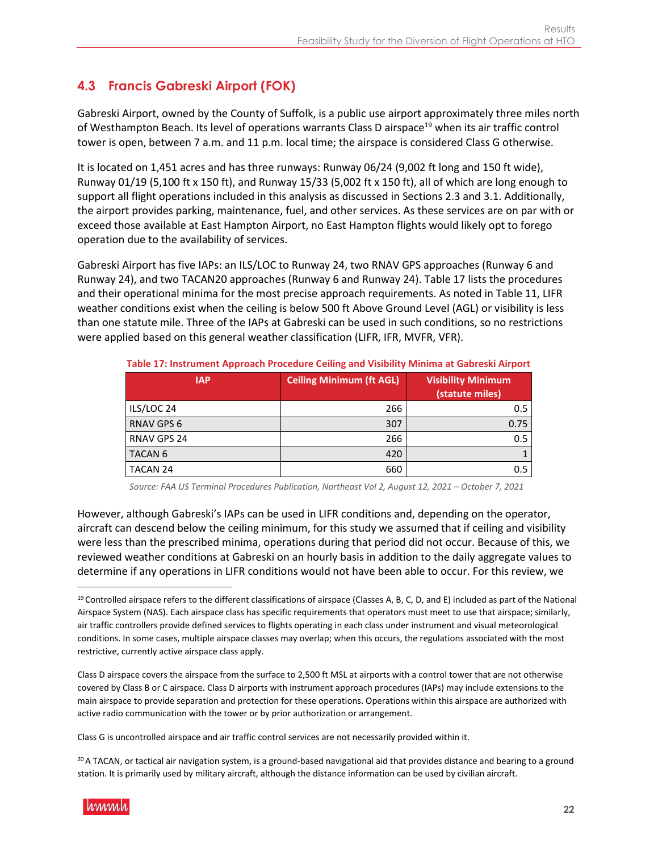## <span id="page-27-0"></span>**4.3 Francis Gabreski Airport (FOK)**

Gabreski Airport, owned by the County of Suffolk, is a public use airport approximately three miles north of Westhampton Beach. Its level of operations warrants Class D airspace<sup>19</sup> when its air traffic control tower is open, between 7 a.m. and 11 p.m. local time; the airspace is considered Class G otherwise.

It is located on 1,451 acres and has three runways: Runway 06/24 (9,002 ft long and 150 ft wide), Runway 01/19 (5,100 ft x 150 ft), and Runway 15/33 (5,002 ft x 150 ft), all of which are long enough to support all flight operations included in this analysis as discussed in Sections [2.3](#page-10-1) and [3.1.](#page-15-0) Additionally, the airport provides parking, maintenance, fuel, and other services. As these services are on par with or exceed those available at East Hampton Airport, no East Hampton flights would likely opt to forego operation due to the availability of services.

Gabreski Airport has five IAPs: an ILS/LOC to Runway 24, two RNAV GPS approaches (Runway 6 and Runway 24), and two TACAN20 approaches (Runway 6 and Runway 24). [Table 17](#page-27-1) lists the procedures and their operational minima for the most precise approach requirements. As noted i[n Table 11,](#page-19-1) LIFR weather conditions exist when the ceiling is below 500 ft Above Ground Level (AGL) or visibility is less than one statute mile. Three of the IAPs at Gabreski can be used in such conditions, so no restrictions were applied based on this general weather classification (LIFR, IFR, MVFR, VFR).

| <b>IAP</b>         | <b>Ceiling Minimum (ft AGL)</b> | <b>Visibility Minimum</b><br>(statute miles) |
|--------------------|---------------------------------|----------------------------------------------|
| ILS/LOC 24         | 266                             | 0.5                                          |
| RNAV GPS 6         | 307                             | 0.75                                         |
| <b>RNAV GPS 24</b> | 266                             | 0.5                                          |
| <b>TACAN 6</b>     | 420                             |                                              |
| <b>TACAN 24</b>    | 660                             | 0.5                                          |

<span id="page-27-1"></span>**Table 17: Instrument Approach Procedure Ceiling and Visibility Minima at Gabreski Airport**

*Source: FAA US Terminal Procedures Publication, Northeast Vol 2, August 12, 2021 – October 7, 2021*

However, although Gabreski's IAPs can be used in LIFR conditions and, depending on the operator, aircraft can descend below the ceiling minimum, for this study we assumed that if ceiling and visibility were less than the prescribed minima, operations during that period did not occur. Because of this, we reviewed weather conditions at Gabreski on an hourly basis in addition to the daily aggregate values to determine if any operations in LIFR conditions would not have been able to occur. For this review, we

Class D airspace covers the airspace from the surface to 2,500 ft MSL at airports with a control tower that are not otherwise covered by Class B or C airspace. Class D airports with instrument approach procedures (IAPs) may include extensions to the main airspace to provide separation and protection for these operations. Operations within this airspace are authorized with active radio communication with the tower or by prior authorization or arrangement.

Class G is uncontrolled airspace and air traffic control services are not necessarily provided within it.

 $20A$  TACAN, or tactical air navigation system, is a ground-based navigational aid that provides distance and bearing to a ground station. It is primarily used by military aircraft, although the distance information can be used by civilian aircraft.



<sup>19</sup> Controlled airspace refers to the different classifications of airspace (Classes A, B, C, D, and E) included as part of the National Airspace System (NAS). Each airspace class has specific requirements that operators must meet to use that airspace; similarly, air traffic controllers provide defined services to flights operating in each class under instrument and visual meteorological conditions. In some cases, multiple airspace classes may overlap; when this occurs, the regulations associated with the most restrictive, currently active airspace class apply.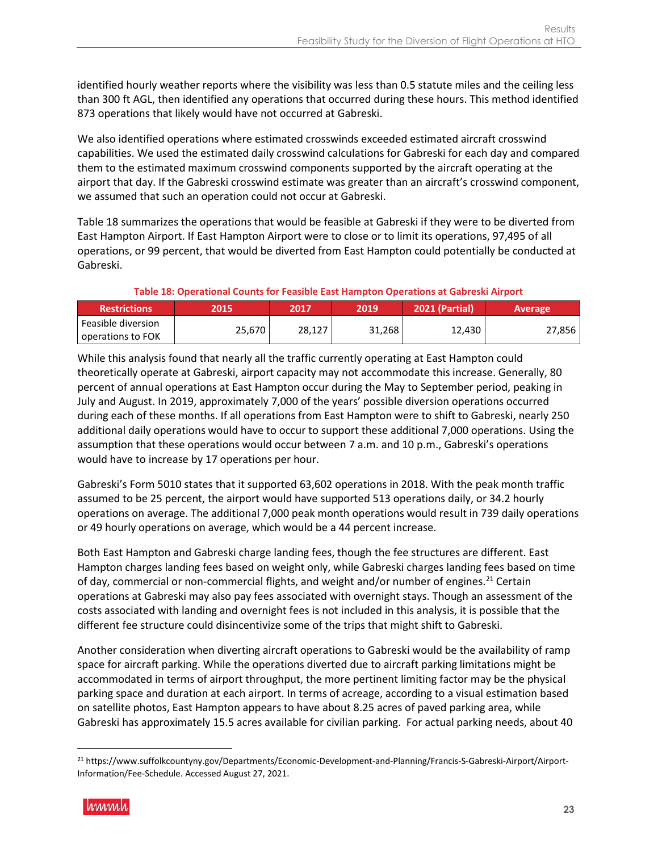identified hourly weather reports where the visibility was less than 0.5 statute miles and the ceiling less than 300 ft AGL, then identified any operations that occurred during these hours. This method identified 873 operations that likely would have not occurred at Gabreski.

We also identified operations where estimated crosswinds exceeded estimated aircraft crosswind capabilities. We used the estimated daily crosswind calculations for Gabreski for each day and compared them to the estimated maximum crosswind components supported by the aircraft operating at the airport that day. If the Gabreski crosswind estimate was greater than an aircraft's crosswind component, we assumed that such an operation could not occur at Gabreski.

[Table 18](#page-28-0) summarizes the operations that would be feasible at Gabreski if they were to be diverted from East Hampton Airport. If East Hampton Airport were to close or to limit its operations, 97,495 of all operations, or 99 percent, that would be diverted from East Hampton could potentially be conducted at Gabreski.

<span id="page-28-0"></span>

| 2017   | 2019   | 2021 (Partial) | Average |
|--------|--------|----------------|---------|
| 28.127 | 31,268 | 12,430         | 27,856  |
| 25,670 |        |                |         |

#### **Table 18: Operational Counts for Feasible East Hampton Operations at Gabreski Airport**

While this analysis found that nearly all the traffic currently operating at East Hampton could theoretically operate at Gabreski, airport capacity may not accommodate this increase. Generally, 80 percent of annual operations at East Hampton occur during the May to September period, peaking in July and August. In 2019, approximately 7,000 of the years' possible diversion operations occurred during each of these months. If all operations from East Hampton were to shift to Gabreski, nearly 250 additional daily operations would have to occur to support these additional 7,000 operations. Using the assumption that these operations would occur between 7 a.m. and 10 p.m., Gabreski's operations would have to increase by 17 operations per hour.

Gabreski's Form 5010 states that it supported 63,602 operations in 2018. With the peak month traffic assumed to be 25 percent, the airport would have supported 513 operations daily, or 34.2 hourly operations on average. The additional 7,000 peak month operations would result in 739 daily operations or 49 hourly operations on average, which would be a 44 percent increase.

Both East Hampton and Gabreski charge landing fees, though the fee structures are different. East Hampton charges landing fees based on weight only, while Gabreski charges landing fees based on time of day, commercial or non-commercial flights, and weight and/or number of engines.<sup>21</sup> Certain operations at Gabreski may also pay fees associated with overnight stays. Though an assessment of the costs associated with landing and overnight fees is not included in this analysis, it is possible that the different fee structure could disincentivize some of the trips that might shift to Gabreski.

Another consideration when diverting aircraft operations to Gabreski would be the availability of ramp space for aircraft parking. While the operations diverted due to aircraft parking limitations might be accommodated in terms of airport throughput, the more pertinent limiting factor may be the physical parking space and duration at each airport. In terms of acreage, according to a visual estimation based on satellite photos, East Hampton appears to have about 8.25 acres of paved parking area, while Gabreski has approximately 15.5 acres available for civilian parking. For actual parking needs, about 40

<sup>21</sup> [https://www.suffolkcountyny.gov/Departments/Economic-Development-and-Planning/Francis-S-Gabreski-Airport/Airport-](https://www.suffolkcountyny.gov/Departments/Economic-Development-and-Planning/Francis-S-Gabreski-Airport/Airport-Information/Fee-Schedule)[Information/Fee-Schedule.](https://www.suffolkcountyny.gov/Departments/Economic-Development-and-Planning/Francis-S-Gabreski-Airport/Airport-Information/Fee-Schedule) Accessed August 27, 2021.

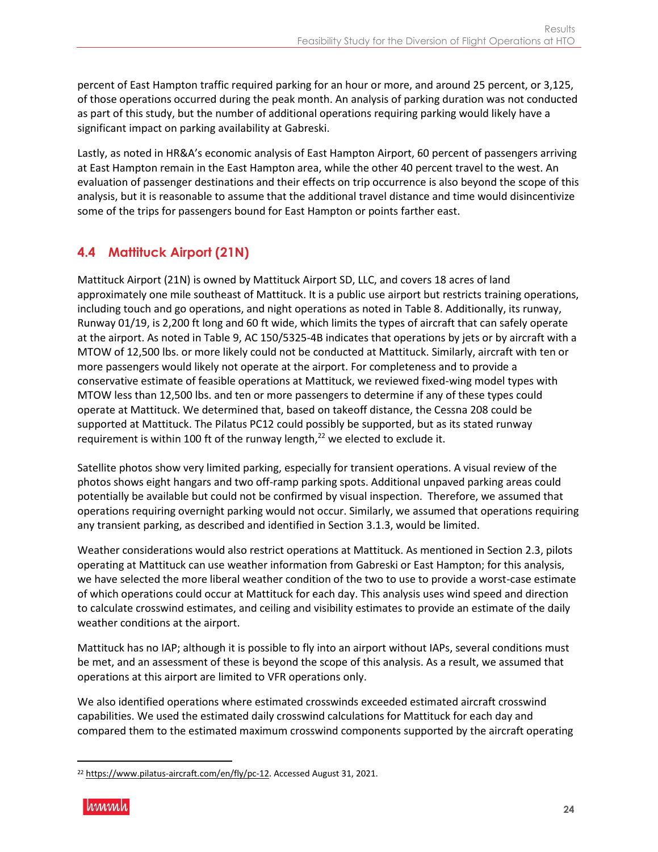percent of East Hampton traffic required parking for an hour or more, and around 25 percent, or 3,125, of those operations occurred during the peak month. An analysis of parking duration was not conducted as part of this study, but the number of additional operations requiring parking would likely have a significant impact on parking availability at Gabreski.

Lastly, as noted in HR&A's economic analysis of East Hampton Airport, 60 percent of passengers arriving at East Hampton remain in the East Hampton area, while the other 40 percent travel to the west. An evaluation of passenger destinations and their effects on trip occurrence is also beyond the scope of this analysis, but it is reasonable to assume that the additional travel distance and time would disincentivize some of the trips for passengers bound for East Hampton or points farther east.

## <span id="page-29-0"></span>**4.4 Mattituck Airport (21N)**

Mattituck Airport (21N) is owned by Mattituck Airport SD, LLC, and covers 18 acres of land approximately one mile southeast of Mattituck. It is a public use airport but restricts training operations, including touch and go operations, and night operations as noted in [Table 8.](#page-15-2) Additionally, its runway, Runway 01/19, is 2,200 ft long and 60 ft wide, which limits the types of aircraft that can safely operate at the airport. As noted in [Table 9,](#page-16-1) AC 150/5325-4B indicates that operations by jets or by aircraft with a MTOW of 12,500 lbs. or more likely could not be conducted at Mattituck. Similarly, aircraft with ten or more passengers would likely not operate at the airport. For completeness and to provide a conservative estimate of feasible operations at Mattituck, we reviewed fixed-wing model types with MTOW less than 12,500 lbs. and ten or more passengers to determine if any of these types could operate at Mattituck. We determined that, based on takeoff distance, the Cessna 208 could be supported at Mattituck. The Pilatus PC12 could possibly be supported, but as its stated runway requirement is within 100 ft of the runway length, $22$  we elected to exclude it.

Satellite photos show very limited parking, especially for transient operations. A visual review of the photos shows eight hangars and two off-ramp parking spots. Additional unpaved parking areas could potentially be available but could not be confirmed by visual inspection. Therefore, we assumed that operations requiring overnight parking would not occur. Similarly, we assumed that operations requiring any transient parking, as described and identified in Section [3.1.3,](#page-17-0) would be limited.

Weather considerations would also restrict operations at Mattituck. As mentioned in Section [2.3,](#page-10-1) pilots operating at Mattituck can use weather information from Gabreski or East Hampton; for this analysis, we have selected the more liberal weather condition of the two to use to provide a worst-case estimate of which operations could occur at Mattituck for each day. This analysis uses wind speed and direction to calculate crosswind estimates, and ceiling and visibility estimates to provide an estimate of the daily weather conditions at the airport.

Mattituck has no IAP; although it is possible to fly into an airport without IAPs, several conditions must be met, and an assessment of these is beyond the scope of this analysis. As a result, we assumed that operations at this airport are limited to VFR operations only.

We also identified operations where estimated crosswinds exceeded estimated aircraft crosswind capabilities. We used the estimated daily crosswind calculations for Mattituck for each day and compared them to the estimated maximum crosswind components supported by the aircraft operating

<sup>&</sup>lt;sup>22</sup> [https://www.pilatus-aircraft.com/en/fly/pc-12.](https://www.pilatus-aircraft.com/en/fly/pc-12) Accessed August 31, 2021.

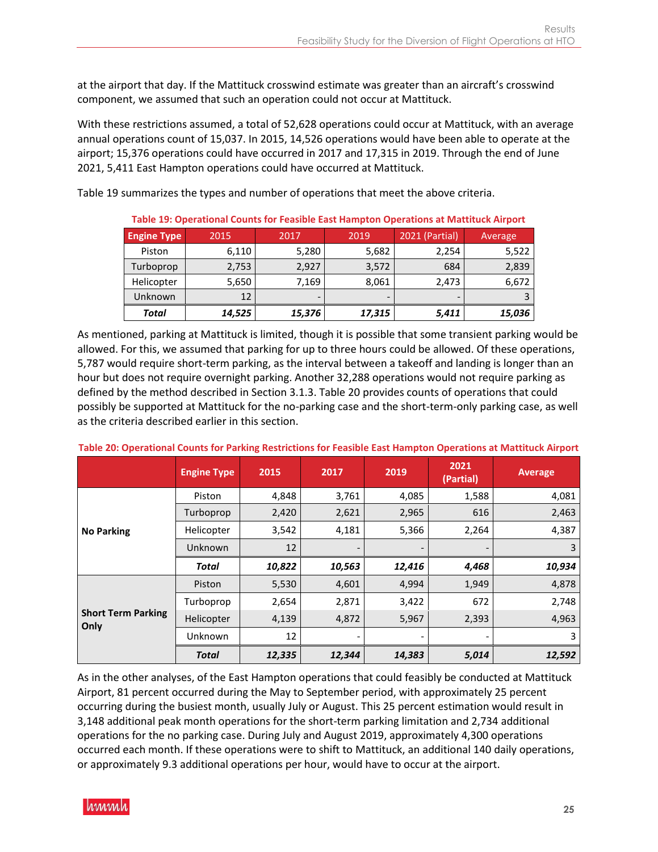at the airport that day. If the Mattituck crosswind estimate was greater than an aircraft's crosswind component, we assumed that such an operation could not occur at Mattituck.

With these restrictions assumed, a total of 52,628 operations could occur at Mattituck, with an average annual operations count of 15,037. In 2015, 14,526 operations would have been able to operate at the airport; 15,376 operations could have occurred in 2017 and 17,315 in 2019. Through the end of June 2021, 5,411 East Hampton operations could have occurred at Mattituck.

<span id="page-30-0"></span>[Table 19](#page-30-0) summarizes the types and number of operations that meet the above criteria.

| <b>Engine Type</b> | 2015   | 2017                     | 2019                         | 2021 (Partial) | Average |
|--------------------|--------|--------------------------|------------------------------|----------------|---------|
| Piston             | 6,110  | 5,280                    | 5,682                        | 2,254          | 5,522   |
| Turboprop          | 2,753  | 2,927                    | 3,572                        | 684            | 2,839   |
| Helicopter         | 5,650  | 7,169                    | 8,061                        | 2,473          | 6,672   |
| Unknown            | 12     | $\overline{\phantom{0}}$ | $\qquad \qquad \blacksquare$ | -              | 3       |
| Total              | 14,525 | 15,376                   | 17,315                       | 5,411          | 15,036  |

**Table 19: Operational Counts for Feasible East Hampton Operations at Mattituck Airport**

As mentioned, parking at Mattituck is limited, though it is possible that some transient parking would be allowed. For this, we assumed that parking for up to three hours could be allowed. Of these operations, 5,787 would require short-term parking, as the interval between a takeoff and landing is longer than an hour but does not require overnight parking. Another 32,288 operations would not require parking as defined by the method described in Sectio[n 3.1.3.](#page-17-0) [Table 20](#page-30-1) provides counts of operations that could possibly be supported at Mattituck for the no-parking case and the short-term-only parking case, as well as the criteria described earlier in this section.

|                                   | <b>Engine Type</b> | 2015   | 2017   | 2019                     | 2021<br>(Partial) | Average |
|-----------------------------------|--------------------|--------|--------|--------------------------|-------------------|---------|
|                                   | Piston             | 4,848  | 3,761  | 4,085                    | 1,588             | 4,081   |
|                                   | Turboprop          | 2,420  | 2,621  | 2,965                    | 616               | 2,463   |
| <b>No Parking</b>                 | Helicopter         | 3,542  | 4,181  | 5,366                    | 2,264             | 4,387   |
|                                   | Unknown            | 12     |        | $\overline{\phantom{a}}$ | -                 | 3       |
|                                   | <b>Total</b>       | 10,822 | 10,563 | 12,416                   | 4,468             | 10,934  |
| <b>Short Term Parking</b><br>Only | Piston             | 5,530  | 4,601  | 4,994                    | 1,949             | 4,878   |
|                                   | Turboprop          | 2,654  | 2,871  | 3,422                    | 672               | 2,748   |
|                                   | Helicopter         | 4,139  | 4,872  | 5,967                    | 2,393             | 4,963   |
|                                   | Unknown            | 12     |        |                          |                   | 3       |
|                                   | <b>Total</b>       | 12,335 | 12,344 | 14,383                   | 5,014             | 12,592  |

<span id="page-30-1"></span>**Table 20: Operational Counts for Parking Restrictions for Feasible East Hampton Operations at Mattituck Airport**

As in the other analyses, of the East Hampton operations that could feasibly be conducted at Mattituck Airport, 81 percent occurred during the May to September period, with approximately 25 percent occurring during the busiest month, usually July or August. This 25 percent estimation would result in 3,148 additional peak month operations for the short-term parking limitation and 2,734 additional operations for the no parking case. During July and August 2019, approximately 4,300 operations occurred each month. If these operations were to shift to Mattituck, an additional 140 daily operations, or approximately 9.3 additional operations per hour, would have to occur at the airport.

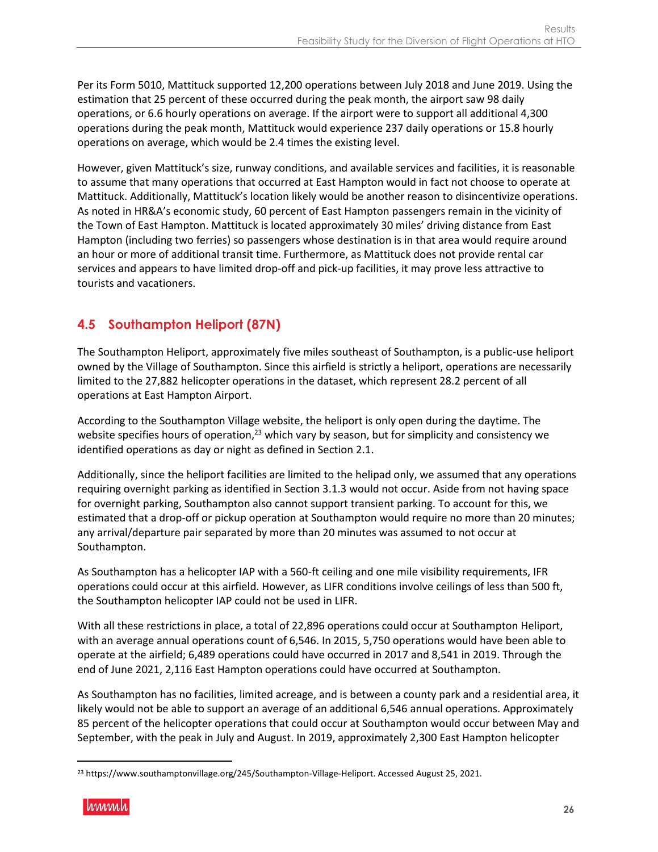Per its Form 5010, Mattituck supported 12,200 operations between July 2018 and June 2019. Using the estimation that 25 percent of these occurred during the peak month, the airport saw 98 daily operations, or 6.6 hourly operations on average. If the airport were to support all additional 4,300 operations during the peak month, Mattituck would experience 237 daily operations or 15.8 hourly operations on average, which would be 2.4 times the existing level.

However, given Mattituck's size, runway conditions, and available services and facilities, it is reasonable to assume that many operations that occurred at East Hampton would in fact not choose to operate at Mattituck. Additionally, Mattituck's location likely would be another reason to disincentivize operations. As noted in HR&A's economic study, 60 percent of East Hampton passengers remain in the vicinity of the Town of East Hampton. Mattituck is located approximately 30 miles' driving distance from East Hampton (including two ferries) so passengers whose destination is in that area would require around an hour or more of additional transit time. Furthermore, as Mattituck does not provide rental car services and appears to have limited drop-off and pick-up facilities, it may prove less attractive to tourists and vacationers.

## <span id="page-31-0"></span>**4.5 Southampton Heliport (87N)**

The Southampton Heliport, approximately five miles southeast of Southampton, is a public-use heliport owned by the Village of Southampton. Since this airfield is strictly a heliport, operations are necessarily limited to the 27,882 helicopter operations in the dataset, which represent 28.2 percent of all operations at East Hampton Airport.

According to the Southampton Village website, the heliport is only open during the daytime. The website specifies hours of operation, $2<sup>3</sup>$  which vary by season, but for simplicity and consistency we identified operations as day or night as defined in Section [2.1.](#page-8-1)

Additionally, since the heliport facilities are limited to the helipad only, we assumed that any operations requiring overnight parking as identified in Section [3.1.3](#page-17-0) would not occur. Aside from not having space for overnight parking, Southampton also cannot support transient parking. To account for this, we estimated that a drop-off or pickup operation at Southampton would require no more than 20 minutes; any arrival/departure pair separated by more than 20 minutes was assumed to not occur at Southampton.

As Southampton has a helicopter IAP with a 560-ft ceiling and one mile visibility requirements, IFR operations could occur at this airfield. However, as LIFR conditions involve ceilings of less than 500 ft, the Southampton helicopter IAP could not be used in LIFR.

With all these restrictions in place, a total of 22,896 operations could occur at Southampton Heliport, with an average annual operations count of 6,546. In 2015, 5,750 operations would have been able to operate at the airfield; 6,489 operations could have occurred in 2017 and 8,541 in 2019. Through the end of June 2021, 2,116 East Hampton operations could have occurred at Southampton.

As Southampton has no facilities, limited acreage, and is between a county park and a residential area, it likely would not be able to support an average of an additional 6,546 annual operations. Approximately 85 percent of the helicopter operations that could occur at Southampton would occur between May and September, with the peak in July and August. In 2019, approximately 2,300 East Hampton helicopter

<sup>23</sup> [https://www.southamptonvillage.org/245/Southampton-Village-Heliport.](https://www.southamptonvillage.org/245/Southampton-Village-Heliport) Accessed August 25, 2021.

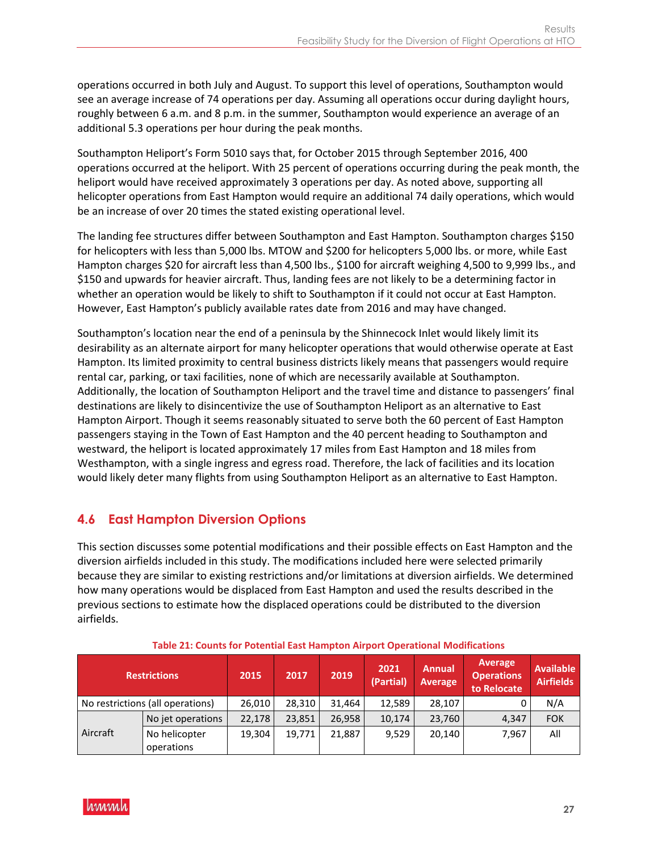operations occurred in both July and August. To support this level of operations, Southampton would see an average increase of 74 operations per day. Assuming all operations occur during daylight hours, roughly between 6 a.m. and 8 p.m. in the summer, Southampton would experience an average of an additional 5.3 operations per hour during the peak months.

Southampton Heliport's Form 5010 says that, for October 2015 through September 2016, 400 operations occurred at the heliport. With 25 percent of operations occurring during the peak month, the heliport would have received approximately 3 operations per day. As noted above, supporting all helicopter operations from East Hampton would require an additional 74 daily operations, which would be an increase of over 20 times the stated existing operational level.

The landing fee structures differ between Southampton and East Hampton. Southampton charges \$150 for helicopters with less than 5,000 lbs. MTOW and \$200 for helicopters 5,000 lbs. or more, while East Hampton charges \$20 for aircraft less than 4,500 lbs., \$100 for aircraft weighing 4,500 to 9,999 lbs., and \$150 and upwards for heavier aircraft. Thus, landing fees are not likely to be a determining factor in whether an operation would be likely to shift to Southampton if it could not occur at East Hampton. However, East Hampton's publicly available rates date from 2016 and may have changed.

Southampton's location near the end of a peninsula by the Shinnecock Inlet would likely limit its desirability as an alternate airport for many helicopter operations that would otherwise operate at East Hampton. Its limited proximity to central business districts likely means that passengers would require rental car, parking, or taxi facilities, none of which are necessarily available at Southampton. Additionally, the location of Southampton Heliport and the travel time and distance to passengers' final destinations are likely to disincentivize the use of Southampton Heliport as an alternative to East Hampton Airport. Though it seems reasonably situated to serve both the 60 percent of East Hampton passengers staying in the Town of East Hampton and the 40 percent heading to Southampton and westward, the heliport is located approximately 17 miles from East Hampton and 18 miles from Westhampton, with a single ingress and egress road. Therefore, the lack of facilities and its location would likely deter many flights from using Southampton Heliport as an alternative to East Hampton.

## <span id="page-32-0"></span>**4.6 East Hampton Diversion Options**

This section discusses some potential modifications and their possible effects on East Hampton and the diversion airfields included in this study. The modifications included here were selected primarily because they are similar to existing restrictions and/or limitations at diversion airfields. We determined how many operations would be displaced from East Hampton and used the results described in the previous sections to estimate how the displaced operations could be distributed to the diversion airfields.

<span id="page-32-1"></span>

| <b>Restrictions</b>              |                             | 2015   | 2017   | 2019   | 2021<br>(Partial) | Annual<br><b>Average</b> | Average<br><b>Operations</b><br>to Relocate | <b>Available</b><br><b>Airfields</b> |
|----------------------------------|-----------------------------|--------|--------|--------|-------------------|--------------------------|---------------------------------------------|--------------------------------------|
| No restrictions (all operations) |                             | 26.010 | 28.310 | 31.464 | 12,589            | 28,107                   | 0                                           | N/A                                  |
|                                  | No jet operations           | 22,178 | 23,851 | 26,958 | 10,174            | 23,760                   | 4.347                                       | <b>FOK</b>                           |
| Aircraft                         | No helicopter<br>operations | 19.304 | 19,771 | 21,887 | 9,529             | 20,140                   | 7,967                                       | All                                  |

**Table 21: Counts for Potential East Hampton Airport Operational Modifications**

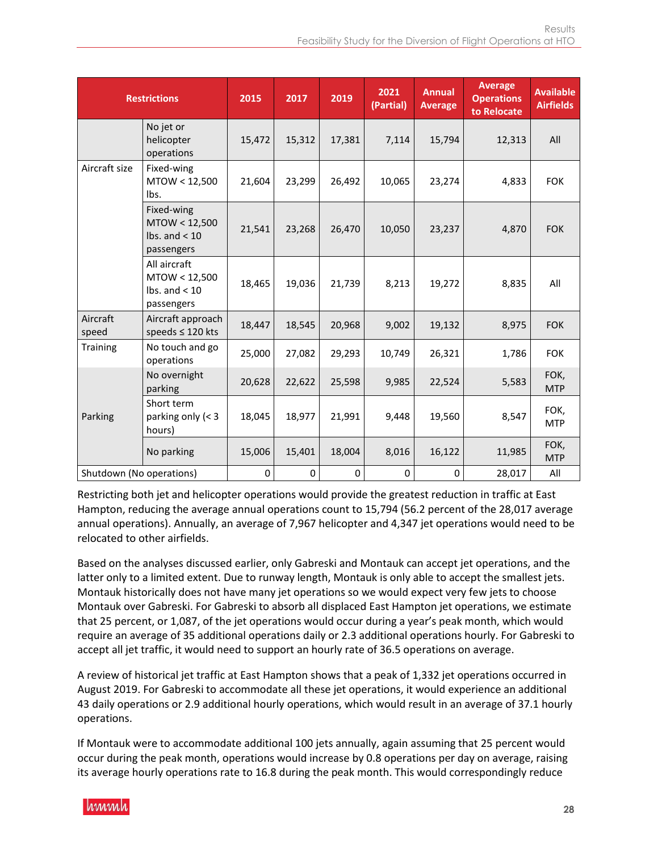| <b>Restrictions</b>      |                                                                  | 2015   | 2017   | 2019   | 2021<br>(Partial) | <b>Annual</b><br><b>Average</b> | <b>Average</b><br><b>Operations</b><br>to Relocate | <b>Available</b><br><b>Airfields</b> |
|--------------------------|------------------------------------------------------------------|--------|--------|--------|-------------------|---------------------------------|----------------------------------------------------|--------------------------------------|
|                          | No jet or<br>helicopter<br>operations                            | 15,472 | 15,312 | 17,381 | 7,114             | 15,794                          | 12,313                                             | All                                  |
| Aircraft size            | Fixed-wing<br>MTOW < 12,500<br>lbs.                              | 21,604 | 23,299 | 26,492 | 10,065            | 23,274                          | 4,833                                              | <b>FOK</b>                           |
|                          | Fixed-wing<br>MTOW < 12,500<br>$lbs.$ and $< 10$<br>passengers   | 21,541 | 23,268 | 26,470 | 10,050            | 23,237                          | 4,870                                              | <b>FOK</b>                           |
|                          | All aircraft<br>MTOW < 12,500<br>$lbs.$ and $< 10$<br>passengers | 18,465 | 19,036 | 21,739 | 8,213             | 19,272                          | 8,835                                              | All                                  |
| Aircraft<br>speed        | Aircraft approach<br>speeds ≤ 120 kts                            | 18,447 | 18,545 | 20,968 | 9,002             | 19,132                          | 8,975                                              | <b>FOK</b>                           |
| <b>Training</b>          | No touch and go<br>operations                                    | 25,000 | 27,082 | 29,293 | 10,749            | 26,321                          | 1,786                                              | <b>FOK</b>                           |
| Parking                  | No overnight<br>parking                                          | 20,628 | 22,622 | 25,598 | 9,985             | 22,524                          | 5,583                                              | FOK,<br><b>MTP</b>                   |
|                          | Short term<br>parking only (< 3<br>hours)                        | 18,045 | 18,977 | 21,991 | 9,448             | 19,560                          | 8,547                                              | FOK,<br><b>MTP</b>                   |
|                          | No parking                                                       | 15,006 | 15,401 | 18,004 | 8,016             | 16,122                          | 11,985                                             | FOK,<br><b>MTP</b>                   |
| Shutdown (No operations) |                                                                  | 0      | 0      | 0      | 0                 | $\mathbf 0$                     | 28,017                                             | All                                  |

Restricting both jet and helicopter operations would provide the greatest reduction in traffic at East Hampton, reducing the average annual operations count to 15,794 (56.2 percent of the 28,017 average annual operations). Annually, an average of 7,967 helicopter and 4,347 jet operations would need to be relocated to other airfields.

Based on the analyses discussed earlier, only Gabreski and Montauk can accept jet operations, and the latter only to a limited extent. Due to runway length, Montauk is only able to accept the smallest jets. Montauk historically does not have many jet operations so we would expect very few jets to choose Montauk over Gabreski. For Gabreski to absorb all displaced East Hampton jet operations, we estimate that 25 percent, or 1,087, of the jet operations would occur during a year's peak month, which would require an average of 35 additional operations daily or 2.3 additional operations hourly. For Gabreski to accept all jet traffic, it would need to support an hourly rate of 36.5 operations on average.

A review of historical jet traffic at East Hampton shows that a peak of 1,332 jet operations occurred in August 2019. For Gabreski to accommodate all these jet operations, it would experience an additional 43 daily operations or 2.9 additional hourly operations, which would result in an average of 37.1 hourly operations.

If Montauk were to accommodate additional 100 jets annually, again assuming that 25 percent would occur during the peak month, operations would increase by 0.8 operations per day on average, raising its average hourly operations rate to 16.8 during the peak month. This would correspondingly reduce

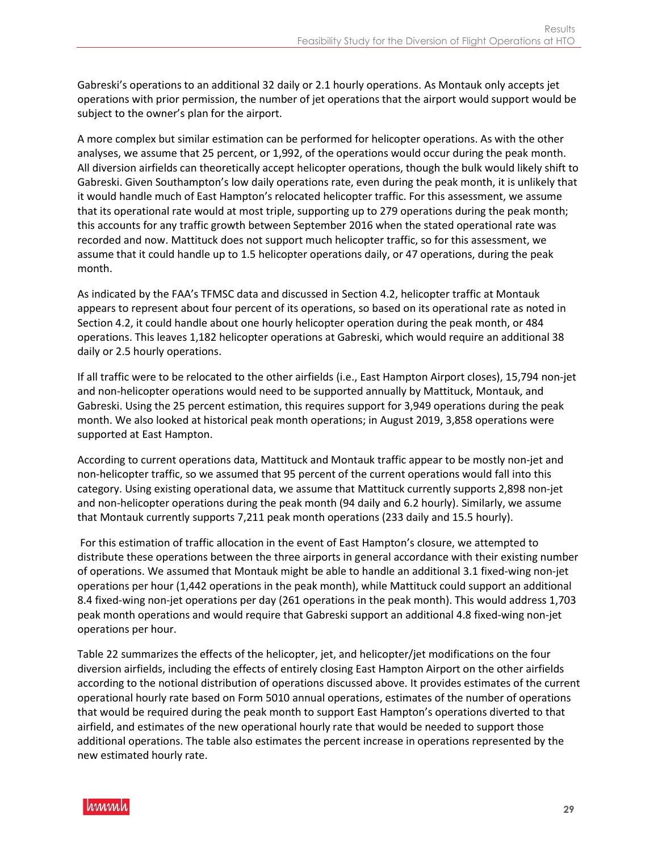Gabreski's operations to an additional 32 daily or 2.1 hourly operations. As Montauk only accepts jet operations with prior permission, the number of jet operations that the airport would support would be subject to the owner's plan for the airport.

A more complex but similar estimation can be performed for helicopter operations. As with the other analyses, we assume that 25 percent, or 1,992, of the operations would occur during the peak month. All diversion airfields can theoretically accept helicopter operations, though the bulk would likely shift to Gabreski. Given Southampton's low daily operations rate, even during the peak month, it is unlikely that it would handle much of East Hampton's relocated helicopter traffic. For this assessment, we assume that its operational rate would at most triple, supporting up to 279 operations during the peak month; this accounts for any traffic growth between September 2016 when the stated operational rate was recorded and now. Mattituck does not support much helicopter traffic, so for this assessment, we assume that it could handle up to 1.5 helicopter operations daily, or 47 operations, during the peak month.

As indicated by the FAA's TFMSC data and discussed in Section [4.2,](#page-24-0) helicopter traffic at Montauk appears to represent about four percent of its operations, so based on its operational rate as noted in Sectio[n 4.2,](#page-24-0) it could handle about one hourly helicopter operation during the peak month, or 484 operations. This leaves 1,182 helicopter operations at Gabreski, which would require an additional 38 daily or 2.5 hourly operations.

If all traffic were to be relocated to the other airfields (i.e., East Hampton Airport closes), 15,794 non-jet and non-helicopter operations would need to be supported annually by Mattituck, Montauk, and Gabreski. Using the 25 percent estimation, this requires support for 3,949 operations during the peak month. We also looked at historical peak month operations; in August 2019, 3,858 operations were supported at East Hampton.

According to current operations data, Mattituck and Montauk traffic appear to be mostly non-jet and non-helicopter traffic, so we assumed that 95 percent of the current operations would fall into this category. Using existing operational data, we assume that Mattituck currently supports 2,898 non-jet and non-helicopter operations during the peak month (94 daily and 6.2 hourly). Similarly, we assume that Montauk currently supports 7,211 peak month operations (233 daily and 15.5 hourly).

For this estimation of traffic allocation in the event of East Hampton's closure, we attempted to distribute these operations between the three airports in general accordance with their existing number of operations. We assumed that Montauk might be able to handle an additional 3.1 fixed-wing non-jet operations per hour (1,442 operations in the peak month), while Mattituck could support an additional 8.4 fixed-wing non-jet operations per day (261 operations in the peak month). This would address 1,703 peak month operations and would require that Gabreski support an additional 4.8 fixed-wing non-jet operations per hour.

[Table 22](#page-35-0) summarizes the effects of the helicopter, jet, and helicopter/jet modifications on the four diversion airfields, including the effects of entirely closing East Hampton Airport on the other airfields according to the notional distribution of operations discussed above. It provides estimates of the current operational hourly rate based on Form 5010 annual operations, estimates of the number of operations that would be required during the peak month to support East Hampton's operations diverted to that airfield, and estimates of the new operational hourly rate that would be needed to support those additional operations. The table also estimates the percent increase in operations represented by the new estimated hourly rate.

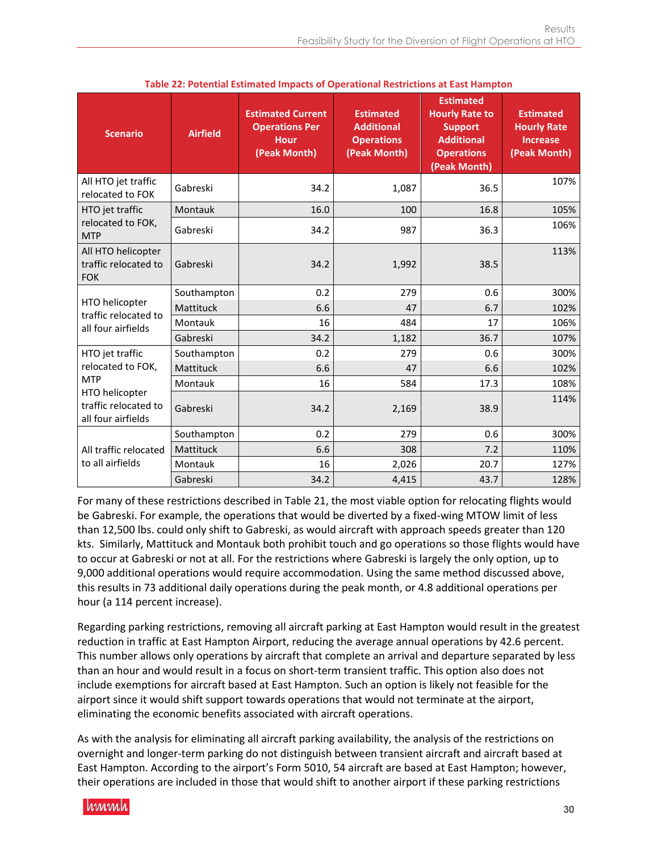<span id="page-35-0"></span>

| <b>Scenario</b>                                              | <b>Airfield</b>  | <b>Estimated Current</b><br><b>Operations Per</b><br><b>Hour</b><br>(Peak Month) | <b>Estimated</b><br><b>Additional</b><br><b>Operations</b><br>(Peak Month) | <b>Estimated</b><br><b>Hourly Rate to</b><br><b>Support</b><br><b>Additional</b><br><b>Operations</b><br>(Peak Month) | <b>Estimated</b><br><b>Hourly Rate</b><br><b>Increase</b><br>(Peak Month) |
|--------------------------------------------------------------|------------------|----------------------------------------------------------------------------------|----------------------------------------------------------------------------|-----------------------------------------------------------------------------------------------------------------------|---------------------------------------------------------------------------|
| All HTO jet traffic<br>relocated to FOK                      | Gabreski         | 34.2                                                                             | 1,087                                                                      | 36.5                                                                                                                  | 107%                                                                      |
| HTO jet traffic                                              | Montauk          | 16.0                                                                             | 100                                                                        | 16.8                                                                                                                  | 105%                                                                      |
| relocated to FOK,<br><b>MTP</b>                              | Gabreski         | 34.2                                                                             | 987                                                                        | 36.3                                                                                                                  | 106%                                                                      |
| All HTO helicopter<br>traffic relocated to<br><b>FOK</b>     | Gabreski         | 34.2                                                                             | 1,992                                                                      | 38.5                                                                                                                  | 113%                                                                      |
| HTO helicopter<br>traffic relocated to<br>all four airfields | Southampton      | 0.2                                                                              | 279                                                                        | 0.6                                                                                                                   | 300%                                                                      |
|                                                              | Mattituck        | 6.6                                                                              | 47                                                                         | 6.7                                                                                                                   | 102%                                                                      |
|                                                              | Montauk          | 16                                                                               | 484                                                                        | 17                                                                                                                    | 106%                                                                      |
|                                                              | Gabreski         | 34.2                                                                             | 1,182                                                                      | 36.7                                                                                                                  | 107%                                                                      |
| HTO jet traffic                                              | Southampton      | 0.2                                                                              | 279                                                                        | 0.6                                                                                                                   | 300%                                                                      |
| relocated to FOK,                                            | Mattituck        | 6.6                                                                              | 47                                                                         | 6.6                                                                                                                   | 102%                                                                      |
| <b>MTP</b><br>HTO helicopter                                 | Montauk          | 16                                                                               | 584                                                                        | 17.3                                                                                                                  | 108%                                                                      |
| traffic relocated to<br>all four airfields                   | Gabreski         | 34.2                                                                             | 2,169                                                                      | 38.9                                                                                                                  | 114%                                                                      |
| All traffic relocated<br>to all airfields                    | Southampton      | 0.2                                                                              | 279                                                                        | 0.6                                                                                                                   | 300%                                                                      |
|                                                              | <b>Mattituck</b> | 6.6                                                                              | 308                                                                        | 7.2                                                                                                                   | 110%                                                                      |
|                                                              | Montauk          | 16                                                                               | 2,026                                                                      | 20.7                                                                                                                  | 127%                                                                      |
|                                                              | Gabreski         | 34.2                                                                             | 4,415                                                                      | 43.7                                                                                                                  | 128%                                                                      |

**Table 22: Potential Estimated Impacts of Operational Restrictions at East Hampton**

For many of these restrictions described in [Table 21,](#page-32-1) the most viable option for relocating flights would be Gabreski. For example, the operations that would be diverted by a fixed-wing MTOW limit of less than 12,500 lbs. could only shift to Gabreski, as would aircraft with approach speeds greater than 120 kts. Similarly, Mattituck and Montauk both prohibit touch and go operations so those flights would have to occur at Gabreski or not at all. For the restrictions where Gabreski is largely the only option, up to 9,000 additional operations would require accommodation. Using the same method discussed above, this results in 73 additional daily operations during the peak month, or 4.8 additional operations per hour (a 114 percent increase).

Regarding parking restrictions, removing all aircraft parking at East Hampton would result in the greatest reduction in traffic at East Hampton Airport, reducing the average annual operations by 42.6 percent. This number allows only operations by aircraft that complete an arrival and departure separated by less than an hour and would result in a focus on short-term transient traffic. This option also does not include exemptions for aircraft based at East Hampton. Such an option is likely not feasible for the airport since it would shift support towards operations that would not terminate at the airport, eliminating the economic benefits associated with aircraft operations.

As with the analysis for eliminating all aircraft parking availability, the analysis of the restrictions on overnight and longer-term parking do not distinguish between transient aircraft and aircraft based at East Hampton. According to the airport's Form 5010, 54 aircraft are based at East Hampton; however, their operations are included in those that would shift to another airport if these parking restrictions

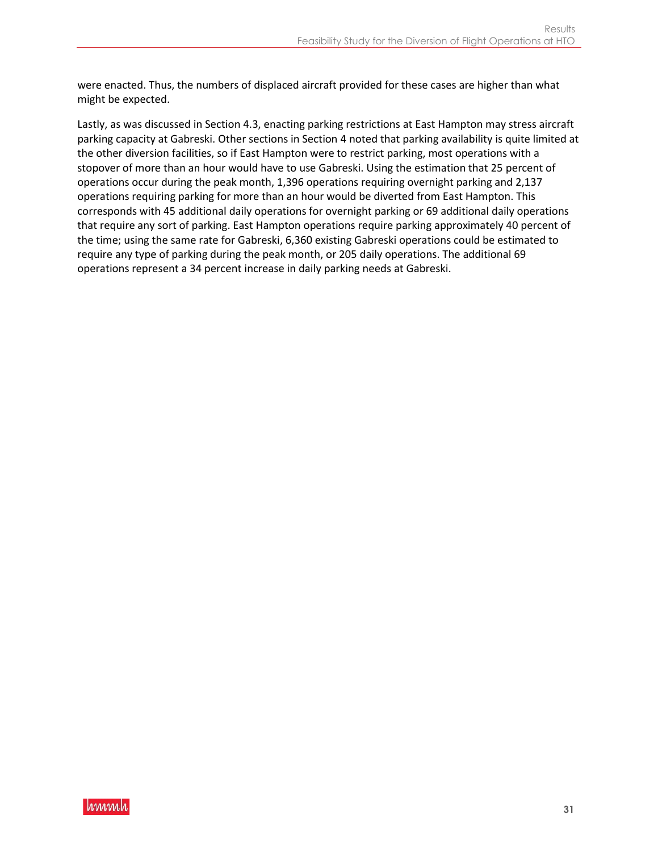were enacted. Thus, the numbers of displaced aircraft provided for these cases are higher than what might be expected.

Lastly, as was discussed in Section [4.3,](#page-27-0) enacting parking restrictions at East Hampton may stress aircraft parking capacity at Gabreski. Other sections in Section [4](#page-22-0) noted that parking availability is quite limited at the other diversion facilities, so if East Hampton were to restrict parking, most operations with a stopover of more than an hour would have to use Gabreski. Using the estimation that 25 percent of operations occur during the peak month, 1,396 operations requiring overnight parking and 2,137 operations requiring parking for more than an hour would be diverted from East Hampton. This corresponds with 45 additional daily operations for overnight parking or 69 additional daily operations that require any sort of parking. East Hampton operations require parking approximately 40 percent of the time; using the same rate for Gabreski, 6,360 existing Gabreski operations could be estimated to require any type of parking during the peak month, or 205 daily operations. The additional 69 operations represent a 34 percent increase in daily parking needs at Gabreski.

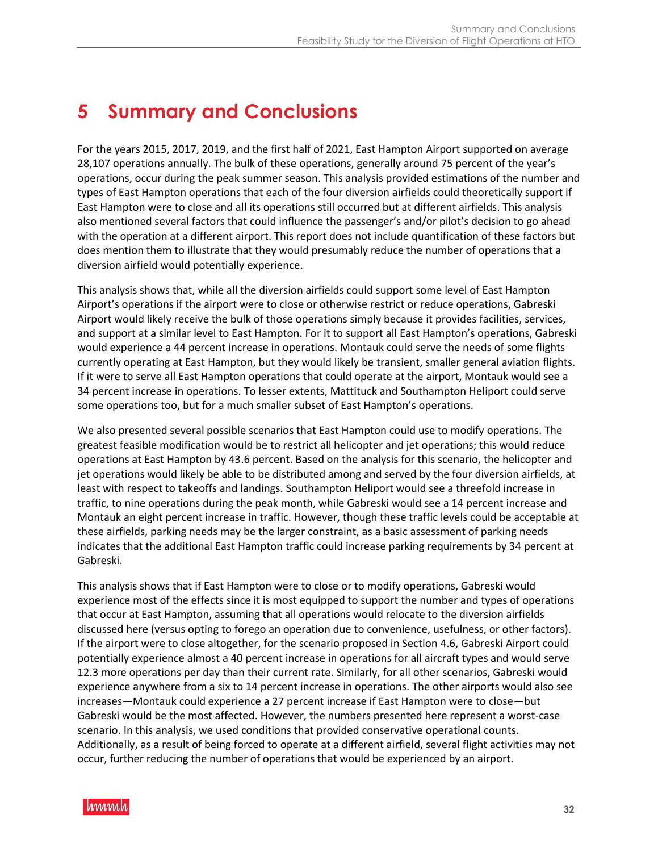## <span id="page-37-0"></span>**5 Summary and Conclusions**

For the years 2015, 2017, 2019, and the first half of 2021, East Hampton Airport supported on average 28,107 operations annually. The bulk of these operations, generally around 75 percent of the year's operations, occur during the peak summer season. This analysis provided estimations of the number and types of East Hampton operations that each of the four diversion airfields could theoretically support if East Hampton were to close and all its operations still occurred but at different airfields. This analysis also mentioned several factors that could influence the passenger's and/or pilot's decision to go ahead with the operation at a different airport. This report does not include quantification of these factors but does mention them to illustrate that they would presumably reduce the number of operations that a diversion airfield would potentially experience.

This analysis shows that, while all the diversion airfields could support some level of East Hampton Airport's operations if the airport were to close or otherwise restrict or reduce operations, Gabreski Airport would likely receive the bulk of those operations simply because it provides facilities, services, and support at a similar level to East Hampton. For it to support all East Hampton's operations, Gabreski would experience a 44 percent increase in operations. Montauk could serve the needs of some flights currently operating at East Hampton, but they would likely be transient, smaller general aviation flights. If it were to serve all East Hampton operations that could operate at the airport, Montauk would see a 34 percent increase in operations. To lesser extents, Mattituck and Southampton Heliport could serve some operations too, but for a much smaller subset of East Hampton's operations.

We also presented several possible scenarios that East Hampton could use to modify operations. The greatest feasible modification would be to restrict all helicopter and jet operations; this would reduce operations at East Hampton by 43.6 percent. Based on the analysis for this scenario, the helicopter and jet operations would likely be able to be distributed among and served by the four diversion airfields, at least with respect to takeoffs and landings. Southampton Heliport would see a threefold increase in traffic, to nine operations during the peak month, while Gabreski would see a 14 percent increase and Montauk an eight percent increase in traffic. However, though these traffic levels could be acceptable at these airfields, parking needs may be the larger constraint, as a basic assessment of parking needs indicates that the additional East Hampton traffic could increase parking requirements by 34 percent at Gabreski.

This analysis shows that if East Hampton were to close or to modify operations, Gabreski would experience most of the effects since it is most equipped to support the number and types of operations that occur at East Hampton, assuming that all operations would relocate to the diversion airfields discussed here (versus opting to forego an operation due to convenience, usefulness, or other factors). If the airport were to close altogether, for the scenario proposed in Section [4.6,](#page-32-0) Gabreski Airport could potentially experience almost a 40 percent increase in operations for all aircraft types and would serve 12.3 more operations per day than their current rate. Similarly, for all other scenarios, Gabreski would experience anywhere from a six to 14 percent increase in operations. The other airports would also see increases—Montauk could experience a 27 percent increase if East Hampton were to close—but Gabreski would be the most affected. However, the numbers presented here represent a worst-case scenario. In this analysis, we used conditions that provided conservative operational counts. Additionally, as a result of being forced to operate at a different airfield, several flight activities may not occur, further reducing the number of operations that would be experienced by an airport.

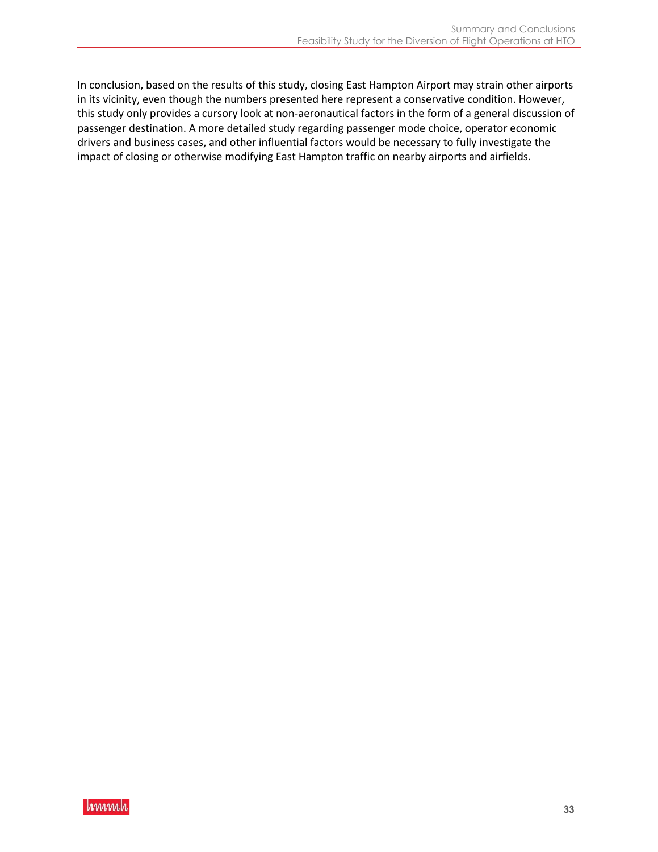In conclusion, based on the results of this study, closing East Hampton Airport may strain other airports in its vicinity, even though the numbers presented here represent a conservative condition. However, this study only provides a cursory look at non-aeronautical factors in the form of a general discussion of passenger destination. A more detailed study regarding passenger mode choice, operator economic drivers and business cases, and other influential factors would be necessary to fully investigate the impact of closing or otherwise modifying East Hampton traffic on nearby airports and airfields.